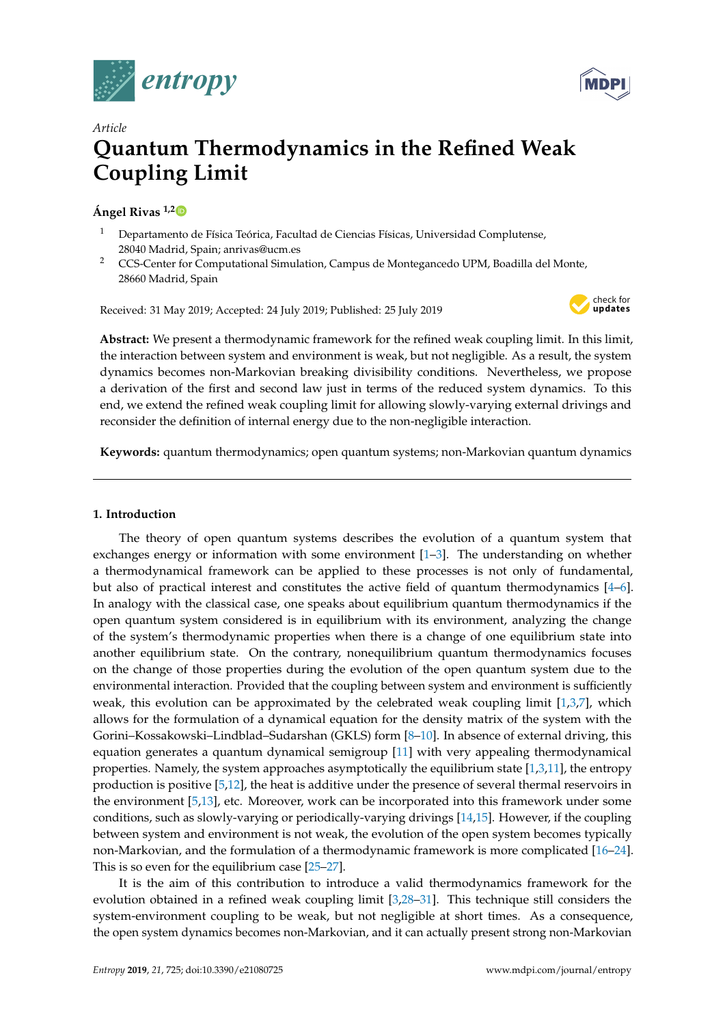



# *Article* **Quantum Thermodynamics in the Refined Weak Coupling Limit**

# **Ángel Rivas 1,[2](https://orcid.org/0000-0002-0636-2446)**

- <sup>1</sup> Departamento de Física Teórica, Facultad de Ciencias Físicas, Universidad Complutense, 28040 Madrid, Spain; anrivas@ucm.es
- <sup>2</sup> CCS-Center for Computational Simulation, Campus de Montegancedo UPM, Boadilla del Monte, 28660 Madrid, Spain

Received: 31 May 2019; Accepted: 24 July 2019; Published: 25 July 2019



**Abstract:** We present a thermodynamic framework for the refined weak coupling limit. In this limit, the interaction between system and environment is weak, but not negligible. As a result, the system dynamics becomes non-Markovian breaking divisibility conditions. Nevertheless, we propose a derivation of the first and second law just in terms of the reduced system dynamics. To this end, we extend the refined weak coupling limit for allowing slowly-varying external drivings and reconsider the definition of internal energy due to the non-negligible interaction.

**Keywords:** quantum thermodynamics; open quantum systems; non-Markovian quantum dynamics

# **1. Introduction**

The theory of open quantum systems describes the evolution of a quantum system that exchanges energy or information with some environment [\[1](#page-17-0)[–3\]](#page-17-1). The understanding on whether a thermodynamical framework can be applied to these processes is not only of fundamental, but also of practical interest and constitutes the active field of quantum thermodynamics [\[4](#page-17-2)[–6\]](#page-17-3). In analogy with the classical case, one speaks about equilibrium quantum thermodynamics if the open quantum system considered is in equilibrium with its environment, analyzing the change of the system's thermodynamic properties when there is a change of one equilibrium state into another equilibrium state. On the contrary, nonequilibrium quantum thermodynamics focuses on the change of those properties during the evolution of the open quantum system due to the environmental interaction. Provided that the coupling between system and environment is sufficiently weak, this evolution can be approximated by the celebrated weak coupling limit  $[1,3,7]$  $[1,3,7]$  $[1,3,7]$ , which allows for the formulation of a dynamical equation for the density matrix of the system with the Gorini–Kossakowski–Lindblad–Sudarshan (GKLS) form [\[8](#page-17-5)[–10\]](#page-17-6). In absence of external driving, this equation generates a quantum dynamical semigroup [\[11\]](#page-17-7) with very appealing thermodynamical properties. Namely, the system approaches asymptotically the equilibrium state  $[1,3,11]$  $[1,3,11]$  $[1,3,11]$ , the entropy production is positive [\[5,](#page-17-8)[12\]](#page-17-9), the heat is additive under the presence of several thermal reservoirs in the environment [\[5,](#page-17-8)[13\]](#page-17-10), etc. Moreover, work can be incorporated into this framework under some conditions, such as slowly-varying or periodically-varying drivings [\[14](#page-17-11)[,15\]](#page-17-12). However, if the coupling between system and environment is not weak, the evolution of the open system becomes typically non-Markovian, and the formulation of a thermodynamic framework is more complicated [\[16–](#page-17-13)[24\]](#page-18-0). This is so even for the equilibrium case [\[25](#page-18-1)[–27\]](#page-18-2).

It is the aim of this contribution to introduce a valid thermodynamics framework for the evolution obtained in a refined weak coupling limit [\[3](#page-17-1)[,28–](#page-18-3)[31\]](#page-18-4). This technique still considers the system-environment coupling to be weak, but not negligible at short times. As a consequence, the open system dynamics becomes non-Markovian, and it can actually present strong non-Markovian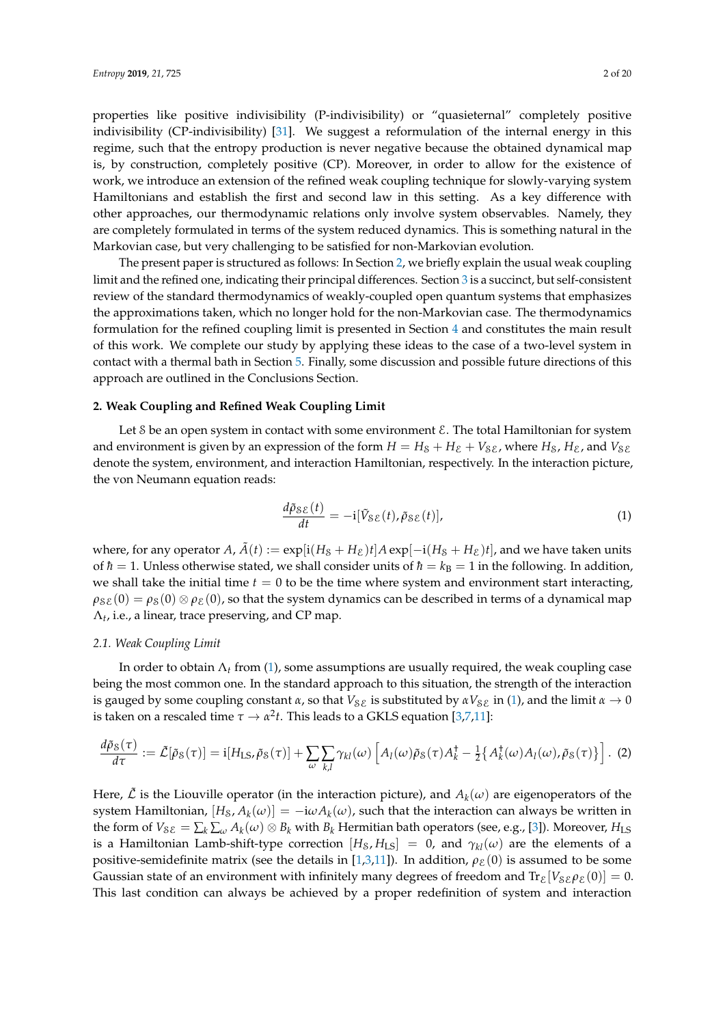properties like positive indivisibility (P-indivisibility) or "quasieternal" completely positive indivisibility (CP-indivisibility) [\[31\]](#page-18-4). We suggest a reformulation of the internal energy in this regime, such that the entropy production is never negative because the obtained dynamical map is, by construction, completely positive (CP). Moreover, in order to allow for the existence of work, we introduce an extension of the refined weak coupling technique for slowly-varying system Hamiltonians and establish the first and second law in this setting. As a key difference with other approaches, our thermodynamic relations only involve system observables. Namely, they are completely formulated in terms of the system reduced dynamics. This is something natural in the Markovian case, but very challenging to be satisfied for non-Markovian evolution.

The present paper is structured as follows: In Section [2,](#page-1-0) we briefly explain the usual weak coupling limit and the refined one, indicating their principal differences. Section [3](#page-4-0) is a succinct, but self-consistent review of the standard thermodynamics of weakly-coupled open quantum systems that emphasizes the approximations taken, which no longer hold for the non-Markovian case. The thermodynamics formulation for the refined coupling limit is presented in Section [4](#page-8-0) and constitutes the main result of this work. We complete our study by applying these ideas to the case of a two-level system in contact with a thermal bath in Section [5.](#page-11-0) Finally, some discussion and possible future directions of this approach are outlined in the Conclusions Section.

# <span id="page-1-0"></span>**2. Weak Coupling and Refined Weak Coupling Limit**

Let  $\delta$  be an open system in contact with some environment  $\mathcal{E}$ . The total Hamiltonian for system and environment is given by an expression of the form  $H = H<sub>S</sub> + H<sub>E</sub> + V<sub>SE</sub>$ , where  $H<sub>S</sub>$ ,  $H<sub>E</sub>$ , and  $V<sub>SE</sub>$ denote the system, environment, and interaction Hamiltonian, respectively. In the interaction picture, the von Neumann equation reads:

<span id="page-1-1"></span>
$$
\frac{d\tilde{\rho}_{\mathcal{SE}}(t)}{dt} = -i[\tilde{V}_{\mathcal{SE}}(t), \tilde{\rho}_{\mathcal{SE}}(t)],\tag{1}
$$

where, for any operator *A*,  $\tilde{A}(t) := \exp[i(H_S + H_{\mathcal{E}})t]A \exp[-i(H_S + H_{\mathcal{E}})t]$ , and we have taken units of  $h = 1$ . Unless otherwise stated, we shall consider units of  $h = k_B = 1$  in the following. In addition, we shall take the initial time  $t = 0$  to be the time where system and environment start interacting,  $\rho_{\rm SE}(0) = \rho_{\rm S}(0) \otimes \rho_{\rm E}(0)$ , so that the system dynamics can be described in terms of a dynamical map  $\Lambda_t$ , i.e., a linear, trace preserving, and CP map.

# *2.1. Weak Coupling Limit*

In order to obtain  $\Lambda_t$  from [\(1\)](#page-1-1), some assumptions are usually required, the weak coupling case being the most common one. In the standard approach to this situation, the strength of the interaction is gauged by some coupling constant  $\alpha$ , so that  $V_{\delta\mathcal{E}}$  is substituted by  $\alpha V_{\delta\mathcal{E}}$  in [\(1\)](#page-1-1), and the limit  $\alpha \to 0$ is taken on a rescaled time  $\tau \to \alpha^2 t$ . This leads to a GKLS equation [\[3](#page-17-1)[,7](#page-17-4)[,11\]](#page-17-7):

$$
\frac{d\tilde{\rho}_{\mathcal{S}}(\tau)}{d\tau} := \tilde{\mathcal{L}}[\tilde{\rho}_{\mathcal{S}}(\tau)] = \mathbf{i}[H_{\text{LS}}, \tilde{\rho}_{\mathcal{S}}(\tau)] + \sum_{\omega} \sum_{k,l} \gamma_{kl}(\omega) \left[ A_l(\omega) \tilde{\rho}_{\mathcal{S}}(\tau) A_k^{\dagger} - \frac{1}{2} \{ A_k^{\dagger}(\omega) A_l(\omega), \tilde{\rho}_{\mathcal{S}}(\tau) \} \right].
$$
 (2)

Here,  $\tilde{\mathcal{L}}$  is the Liouville operator (in the interaction picture), and  $A_k(\omega)$  are eigenoperators of the system Hamiltonian,  $[H_\mathcal{S}, A_k(\omega)] = -\mathrm{i}\omega A_k(\omega)$ , such that the interaction can always be written in the form of  $V_{\mathcal{S}\mathcal{E}} = \sum_k \sum_\omega A_k(\omega) \otimes B_k$  with  $B_k$  Hermitian bath operators (see, e.g., [\[3\]](#page-17-1)). Moreover,  $H_{\text{LS}}$ is a Hamiltonian Lamb-shift-type correction  $[H_S, H_{LS}] = 0$ , and  $\gamma_{kl}(\omega)$  are the elements of a positive-semidefinite matrix (see the details in [\[1](#page-17-0)[,3](#page-17-1)[,11\]](#page-17-7)). In addition,  $\rho_{\varepsilon}(0)$  is assumed to be some Gaussian state of an environment with infinitely many degrees of freedom and  $Tr_{\mathcal{E}}[V_{\mathcal{S}\mathcal{E}}\rho_{\mathcal{E}}(0)] = 0$ . This last condition can always be achieved by a proper redefinition of system and interaction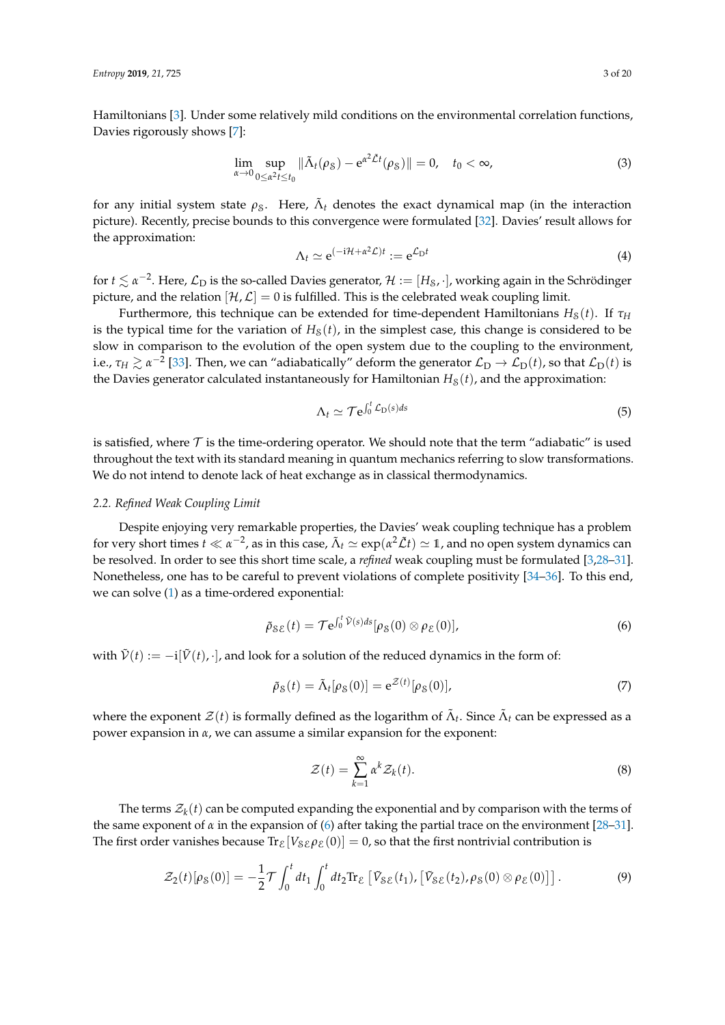Hamiltonians [\[3\]](#page-17-1). Under some relatively mild conditions on the environmental correlation functions, Davies rigorously shows [\[7\]](#page-17-4):

<span id="page-2-1"></span>
$$
\lim_{\alpha \to 0} \sup_{0 \le \alpha^2 t \le t_0} \|\tilde{\Lambda}_t(\rho_{\mathcal{S}}) - e^{\alpha^2 \tilde{\mathcal{L}}t}(\rho_{\mathcal{S}})\| = 0, \quad t_0 < \infty,\tag{3}
$$

for any initial system state  $\rho_{\rm S}$ . Here,  $\tilde{\Lambda}_t$  denotes the exact dynamical map (in the interaction picture). Recently, precise bounds to this convergence were formulated [\[32\]](#page-18-5). Davies' result allows for the approximation:

$$
\Lambda_t \simeq e^{(-i\mathcal{H} + \alpha^2 \mathcal{L})t} := e^{\mathcal{L}_D t} \tag{4}
$$

for  $t\lesssim\alpha^{-2}$ . Here,  $\mathcal{L}_{\rm D}$  is the so-called Davies generator,  $\mathcal{H}:=[H_{\rm S},\cdot]$ , working again in the Schrödinger picture, and the relation  $[\mathcal{H}, \mathcal{L}] = 0$  is fulfilled. This is the celebrated weak coupling limit.

Furthermore, this technique can be extended for time-dependent Hamiltonians  $H_S(t)$ . If  $\tau_H$ is the typical time for the variation of  $H<sub>S</sub>(t)$ , in the simplest case, this change is considered to be slow in comparison to the evolution of the open system due to the coupling to the environment, i.e.,  $\tau_H\gtrsim\alpha^{-2}$  [\[33\]](#page-18-6). Then, we can "adiabatically" deform the generator  $\mathcal{L}_D\to\mathcal{L}_D(t)$ , so that  $\mathcal{L}_D(t)$  is the Davies generator calculated instantaneously for Hamiltonian  $H<sub>s</sub>(t)$ , and the approximation:

<span id="page-2-2"></span>
$$
\Lambda_t \simeq \mathcal{T} e^{\int_0^t \mathcal{L}_D(s)ds} \tag{5}
$$

is satisfied, where  $\tau$  is the time-ordering operator. We should note that the term "adiabatic" is used throughout the text with its standard meaning in quantum mechanics referring to slow transformations. We do not intend to denote lack of heat exchange as in classical thermodynamics.

#### *2.2. Refined Weak Coupling Limit*

Despite enjoying very remarkable properties, the Davies' weak coupling technique has a problem for very short times  $t\ll\alpha^{-2}$ , as in this case,  $\tilde\Lambda_t\simeq \exp(\alpha^2\tilde{\cal L}t)\simeq 1$ , and no open system dynamics can be resolved. In order to see this short time scale, a *refined* weak coupling must be formulated [\[3](#page-17-1)[,28–](#page-18-3)[31\]](#page-18-4). Nonetheless, one has to be careful to prevent violations of complete positivity [\[34–](#page-18-7)[36\]](#page-18-8). To this end, we can solve [\(1\)](#page-1-1) as a time-ordered exponential:

$$
\tilde{\rho}_{\mathcal{SE}}(t) = \mathcal{T} e^{\int_0^t \tilde{\mathcal{V}}(s)ds} [\rho_{\mathcal{S}}(0) \otimes \rho_{\mathcal{E}}(0)], \qquad (6)
$$

with  $\tilde{V}(t) := -i[\tilde{V}(t), \cdot]$ , and look for a solution of the reduced dynamics in the form of:

$$
\tilde{\rho}_S(t) = \tilde{\Lambda}_t[\rho_S(0)] = e^{\mathcal{Z}(t)}[\rho_S(0)],\tag{7}
$$

where the exponent  $\mathcal{Z}(t)$  is formally defined as the logarithm of  $\tilde{\Lambda}_t$ . Since  $\tilde{\Lambda}_t$  can be expressed as a power expansion in *α*, we can assume a similar expansion for the exponent:

<span id="page-2-0"></span>
$$
\mathcal{Z}(t) = \sum_{k=1}^{\infty} \alpha^k \mathcal{Z}_k(t).
$$
 (8)

The terms  $\mathcal{Z}_k(t)$  can be computed expanding the exponential and by comparison with the terms of the same exponent of  $\alpha$  in the expansion of [\(6\)](#page-2-0) after taking the partial trace on the environment [\[28–](#page-18-3)[31\]](#page-18-4). The first order vanishes because  $\text{Tr}_{\mathcal{E}}[V_{\mathcal{S}\mathcal{E}}\rho_{\mathcal{E}}(0)] = 0$ , so that the first nontrivial contribution is

$$
\mathcal{Z}_2(t)[\rho_{\mathcal{S}}(0)] = -\frac{1}{2}\mathcal{T}\int_0^t dt_1 \int_0^t dt_2 \text{Tr}_{\mathcal{E}}\left[\tilde{V}_{\mathcal{S}\mathcal{E}}(t_1), \left[\tilde{V}_{\mathcal{S}\mathcal{E}}(t_2), \rho_{\mathcal{S}}(0) \otimes \rho_{\mathcal{E}}(0)\right]\right].\tag{9}
$$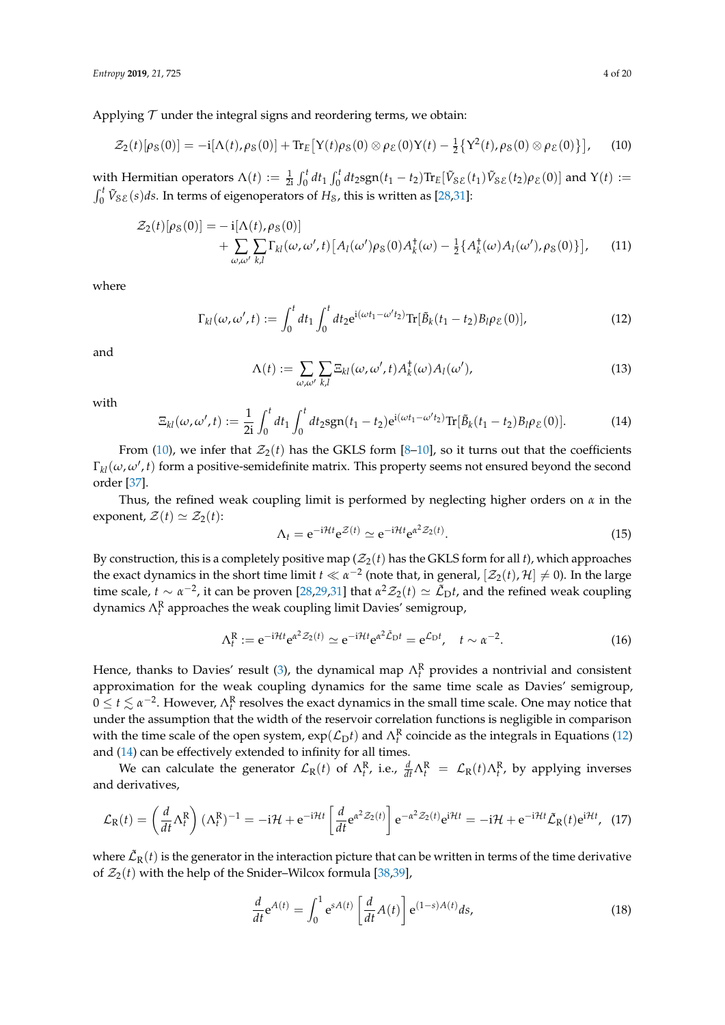$$
\mathcal{Z}_2(t)[\rho_S(0)] = -i[\Lambda(t), \rho_S(0)] + \text{Tr}_E[Y(t)\rho_S(0) \otimes \rho_{\mathcal{E}}(0)Y(t) - \frac{1}{2}\{Y^2(t), \rho_S(0) \otimes \rho_{\mathcal{E}}(0)\}], \quad (10)
$$

with Hermitian operators  $\Lambda(t) := \frac{1}{2i} \int_0^t dt_1 \int_0^t dt_2 \text{sgn}(t_1 - t_2) \text{Tr}_E[\tilde{V}_{\mathcal{S}\mathcal{E}}(t_1) \tilde{V}_{\mathcal{S}\mathcal{E}}(t_2) \rho_{\mathcal{E}}(0)]$  and  $Y(t) :=$  $\int_0^t \tilde{V}_{S\mathcal{E}}(s)ds$ . In terms of eigenoperators of  $H_S$ , this is written as [\[28,](#page-18-3)[31\]](#page-18-4):

$$
\mathcal{Z}_2(t)[\rho_S(0)] = -i[\Lambda(t), \rho_S(0)] \n+ \sum_{\omega, \omega' \ k, l} \Gamma_{kl}(\omega, \omega', t) [A_l(\omega') \rho_S(0) A_k^{\dagger}(\omega) - \frac{1}{2} \{A_k^{\dagger}(\omega) A_l(\omega'), \rho_S(0)\}], \quad (11)
$$

where

$$
\Gamma_{kl}(\omega,\omega',t) := \int_0^t dt_1 \int_0^t dt_2 e^{i(\omega t_1 - \omega' t_2)} \text{Tr}[\tilde{B}_k(t_1 - t_2) B_l \rho_{\mathcal{E}}(0)],\tag{12}
$$

and

<span id="page-3-1"></span><span id="page-3-0"></span>
$$
\Lambda(t) := \sum_{\omega,\omega'} \sum_{k,l} \Xi_{kl}(\omega,\omega',t) A_k^{\dagger}(\omega) A_l(\omega'), \tag{13}
$$

with

<span id="page-3-2"></span>
$$
\Xi_{kl}(\omega,\omega',t) := \frac{1}{2i} \int_0^t dt_1 \int_0^t dt_2 \text{sgn}(t_1 - t_2) e^{i(\omega t_1 - \omega' t_2)} \text{Tr}[\tilde{B}_k(t_1 - t_2) B_l \rho_{\mathcal{E}}(0)]. \tag{14}
$$

From [\(10\)](#page-3-0), we infer that  $\mathcal{Z}_2(t)$  has the GKLS form [\[8](#page-17-5)[–10\]](#page-17-6), so it turns out that the coefficients  $\Gamma_{kl}(\omega,\omega',t)$  form a positive-semidefinite matrix. This property seems not ensured beyond the second order [\[37\]](#page-18-9).

Thus, the refined weak coupling limit is performed by neglecting higher orders on *α* in the exponent,  $\mathcal{Z}(t) \simeq \mathcal{Z}_2(t)$ :

$$
\Lambda_t = e^{-i\mathcal{H}t} e^{\mathcal{Z}(t)} \simeq e^{-i\mathcal{H}t} e^{\alpha^2 \mathcal{Z}_2(t)}.
$$
\n(15)

By construction, this is a completely positive map  $(\mathcal{Z}_2(t))$  has the GKLS form for all t), which approaches the exact dynamics in the short time limit  $t \ll \alpha^{-2}$  (note that, in general,  $[\mathcal{Z}_2(t), \mathcal{H}] \neq 0$ ). In the large time scale,  $t \sim \alpha^{-2}$ , it can be proven [\[28](#page-18-3)[,29](#page-18-10)[,31\]](#page-18-4) that  $\alpha^2 \mathcal{Z}_2(t) \simeq \tilde{\mathcal{L}}_D t$ , and the refined weak coupling dynamics Λ<sup>R</sup> *t* approaches the weak coupling limit Davies' semigroup,

<span id="page-3-4"></span>
$$
\Lambda_t^R := e^{-i\mathcal{H}t} e^{\alpha^2 \mathcal{Z}_2(t)} \simeq e^{-i\mathcal{H}t} e^{\alpha^2 \tilde{\mathcal{L}}_D t} = e^{\mathcal{L}_D t}, \quad t \sim \alpha^{-2}.
$$
 (16)

Hence, thanks to Davies' result [\(3\)](#page-2-1), the dynamical map  $\Lambda_t^R$  provides a nontrivial and consistent approximation for the weak coupling dynamics for the same time scale as Davies' semigroup,  $0 \le t \lesssim \alpha^{-2}$ . However,  $\Lambda_t^R$  resolves the exact dynamics in the small time scale. One may notice that under the assumption that the width of the reservoir correlation functions is negligible in comparison with the time scale of the open system,  $\exp(\mathcal{L}_D t)$  and  $\Lambda_t^R$  coincide as the integrals in Equations [\(12\)](#page-3-1) and [\(14\)](#page-3-2) can be effectively extended to infinity for all times.

We can calculate the generator  $\mathcal{L}_R(t)$  of  $\Lambda_t^R$ , i.e.,  $\frac{d}{dt}\Lambda_t^R = \mathcal{L}_R(t)\Lambda_t^R$ , by applying inverses and derivatives,

<span id="page-3-3"></span>
$$
\mathcal{L}_{R}(t) = \left(\frac{d}{dt}\Lambda_{t}^{R}\right)(\Lambda_{t}^{R})^{-1} = -i\mathcal{H} + e^{-i\mathcal{H}t} \left[\frac{d}{dt}e^{\alpha^{2}\mathcal{Z}_{2}(t)}\right]e^{-\alpha^{2}\mathcal{Z}_{2}(t)}e^{i\mathcal{H}t} = -i\mathcal{H} + e^{-i\mathcal{H}t}\tilde{\mathcal{L}}_{R}(t)e^{i\mathcal{H}t}, \tag{17}
$$

where  $\tilde{\mathcal{L}}_{\rm R}(t)$  is the generator in the interaction picture that can be written in terms of the time derivative of  $\mathcal{Z}_2(t)$  with the help of the Snider–Wilcox formula [\[38](#page-18-11)[,39\]](#page-18-12),

$$
\frac{d}{dt}\mathbf{e}^{A(t)} = \int_0^1 \mathbf{e}^{sA(t)} \left[\frac{d}{dt}A(t)\right] \mathbf{e}^{(1-s)A(t)}ds,\tag{18}
$$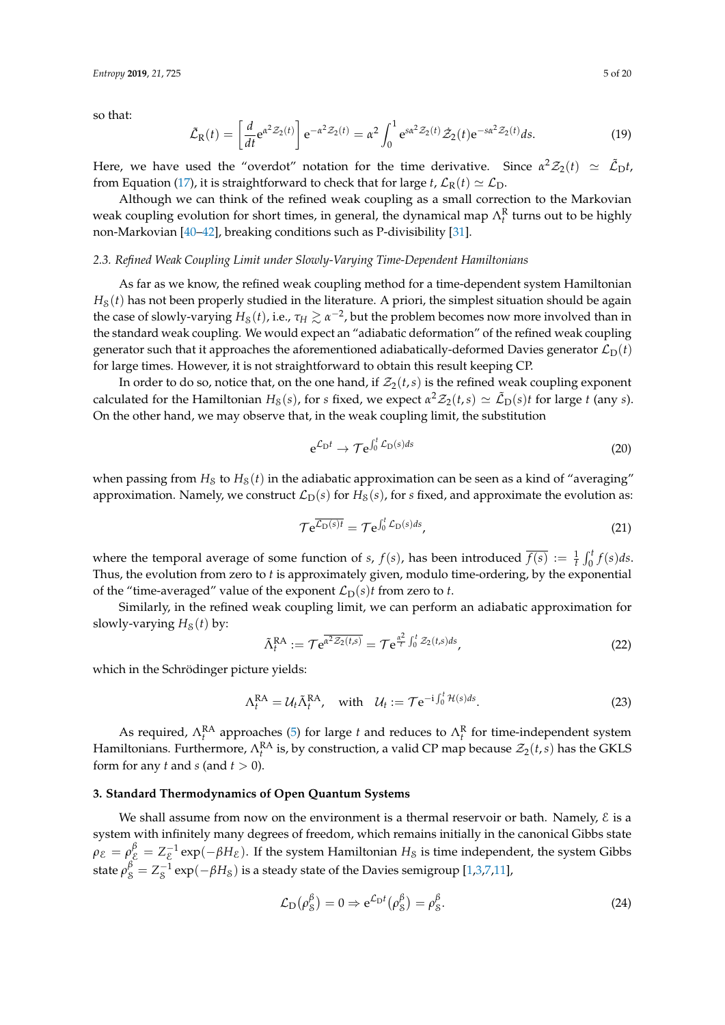so that:

$$
\tilde{\mathcal{L}}_{R}(t) = \left[\frac{d}{dt} e^{\alpha^{2} \mathcal{Z}_{2}(t)}\right] e^{-\alpha^{2} \mathcal{Z}_{2}(t)} = \alpha^{2} \int_{0}^{1} e^{s \alpha^{2} \mathcal{Z}_{2}(t)} \dot{\mathcal{Z}}_{2}(t) e^{-s \alpha^{2} \mathcal{Z}_{2}(t)} ds.
$$
\n(19)

Here, we have used the "overdot" notation for the time derivative. Since  $\alpha^2 \mathcal{Z}_2(t) \simeq \tilde{\mathcal{L}}_D t$ , from Equation [\(17\)](#page-3-3), it is straightforward to check that for large *t*,  $\mathcal{L}_R(t) \simeq \mathcal{L}_D$ .

Although we can think of the refined weak coupling as a small correction to the Markovian weak coupling evolution for short times, in general, the dynamical map  $\Lambda_t^R$  turns out to be highly non-Markovian [\[40](#page-18-13)[–42\]](#page-18-14), breaking conditions such as P-divisibility [\[31\]](#page-18-4).

#### *2.3. Refined Weak Coupling Limit under Slowly-Varying Time-Dependent Hamiltonians*

As far as we know, the refined weak coupling method for a time-dependent system Hamiltonian  $H<sub>S</sub>(t)$  has not been properly studied in the literature. A priori, the simplest situation should be again the case of slowly-varying  $H_8(t)$ , i.e.,  $\tau_H \gtrsim \alpha^{-2}$ , but the problem becomes now more involved than in the standard weak coupling. We would expect an "adiabatic deformation" of the refined weak coupling generator such that it approaches the aforementioned adiabatically-deformed Davies generator  $\mathcal{L}_D(t)$ for large times. However, it is not straightforward to obtain this result keeping CP.

In order to do so, notice that, on the one hand, if  $\mathcal{Z}_2(t,s)$  is the refined weak coupling exponent calculated for the Hamiltonian  $H_8(s)$ , for *s* fixed, we expect  $\alpha^2 \mathcal{Z}_2(t,s) \simeq \tilde{\mathcal{L}}_D(s)t$  for large *t* (any *s*). On the other hand, we may observe that, in the weak coupling limit, the substitution

$$
e^{\mathcal{L}_D t} \to \mathcal{T} e^{\int_0^t \mathcal{L}_D(s) ds} \tag{20}
$$

when passing from  $H_S$  to  $H_S(t)$  in the adiabatic approximation can be seen as a kind of "averaging" approximation. Namely, we construct  $\mathcal{L}_D(s)$  for  $H_S(s)$ , for *s* fixed, and approximate the evolution as:

$$
\mathcal{T}e^{\overline{\mathcal{L}_D(s)t}} = \mathcal{T}e^{\int_0^t \mathcal{L}_D(s)ds},\tag{21}
$$

where the temporal average of some function of *s*,  $f(s)$ , has been introduced  $\overline{f(s)} := \frac{1}{t} \int_0^t f(s) ds$ . Thus, the evolution from zero to *t* is approximately given, modulo time-ordering, by the exponential of the "time-averaged" value of the exponent  $\mathcal{L}_D(s)t$  from zero to *t*.

Similarly, in the refined weak coupling limit, we can perform an adiabatic approximation for slowly-varying  $H<sub>S</sub>(t)$  by:

<span id="page-4-1"></span>
$$
\tilde{\Lambda}_t^{\text{RA}} := \mathcal{T} \mathbf{e}^{\overline{\alpha^2 \mathcal{Z}_2(t,s)}} = \mathcal{T} \mathbf{e}^{\frac{\alpha^2}{t} \int_0^t \mathcal{Z}_2(t,s)ds},\tag{22}
$$

which in the Schrödinger picture yields:

<span id="page-4-2"></span>
$$
\Lambda_t^{\text{RA}} = \mathcal{U}_t \tilde{\Lambda}_t^{\text{RA}}, \quad \text{with} \quad \mathcal{U}_t := \mathcal{T} e^{-i \int_0^t \mathcal{H}(s) ds}.
$$

As required,  $\Lambda_t^{\rm RA}$  approaches [\(5\)](#page-2-2) for large *t* and reduces to  $\Lambda_t^{\rm R}$  for time-independent system Hamiltonians. Furthermore,  $\Lambda_t^{\text{RA}}$  is, by construction, a valid CP map because  $\mathcal{Z}_2(t,s)$  has the GKLS form for any *t* and *s* (and  $t > 0$ ).

# <span id="page-4-0"></span>**3. Standard Thermodynamics of Open Quantum Systems**

We shall assume from now on the environment is a thermal reservoir or bath. Namely,  $\epsilon$  is a system with infinitely many degrees of freedom, which remains initially in the canonical Gibbs state  $\rho_{\cal E}=\rho_{\cal E}^{\beta}=Z_{\cal E}^{-1}\exp(-\beta H_{\cal E}).$  If the system Hamiltonian  $H_{\cal S}$  is time independent, the system Gibbs state  $\rho_{\rm \mathcal{S}}^{\beta}=Z_{\rm \mathcal{S}}^{-1}\exp(-\beta H_{\rm \mathcal{S}})$  is a steady state of the Davies semigroup [\[1](#page-17-0)[,3,](#page-17-1)[7](#page-17-4)[,11\]](#page-17-7),

$$
\mathcal{L}_{\mathcal{D}}(\rho_S^{\beta}) = 0 \Rightarrow e^{\mathcal{L}_{\mathcal{D}}t}(\rho_S^{\beta}) = \rho_S^{\beta}.
$$
 (24)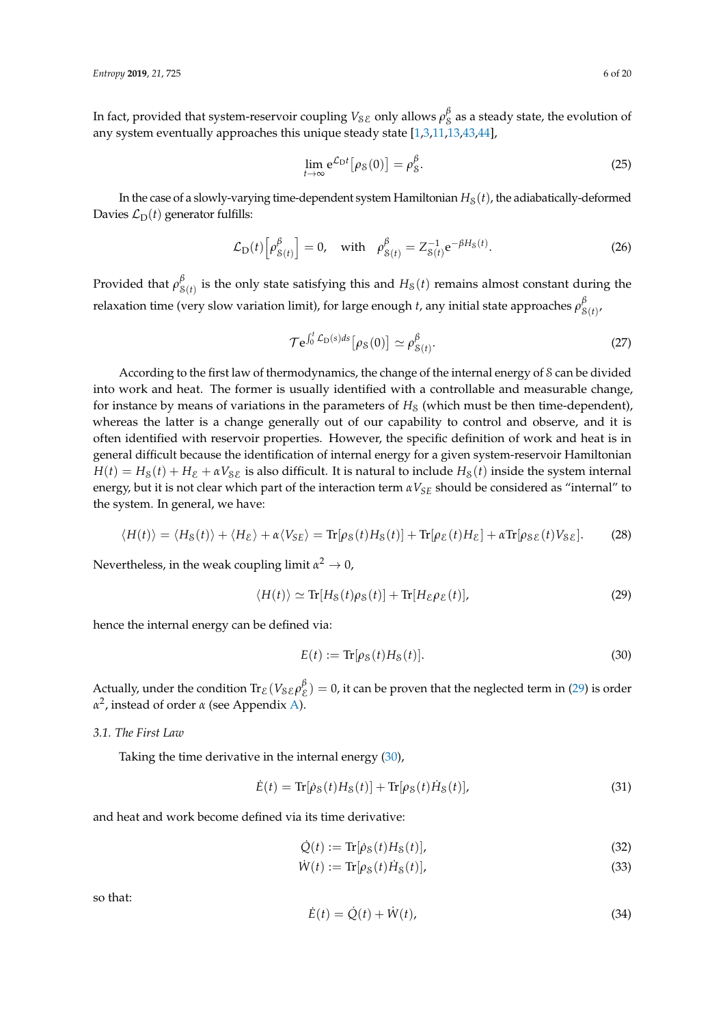In fact, provided that system-reservoir coupling  $V_{\mathcal{S}E}$  only allows  $\rho^{\beta}_S$  as a steady state, the evolution of any system eventually approaches this unique steady state [\[1](#page-17-0)[,3,](#page-17-1)[11](#page-17-7)[,13,](#page-17-10)[43,](#page-18-15)[44\]](#page-18-16),

$$
\lim_{t \to \infty} e^{\mathcal{L}_D t} [\rho_S(0)] = \rho_S^{\beta}.
$$
\n(25)

In the case of a slowly-varying time-dependent system Hamiltonian  $H_S(t)$ , the adiabatically-deformed Davies  $\mathcal{L}_D(t)$  generator fulfills:

<span id="page-5-2"></span>
$$
\mathcal{L}_{\mathcal{D}}(t) \left[ \rho_{\mathcal{S}(t)}^{\beta} \right] = 0, \quad \text{with} \quad \rho_{\mathcal{S}(t)}^{\beta} = Z_{\mathcal{S}(t)}^{-1} e^{-\beta H_{\mathcal{S}}(t)}.
$$
\n(26)

Provided that *ρ β*  $S(t)$  is the only state satisfying this and  $H_S(t)$  remains almost constant during the relaxation time (very slow variation limit), for large enough *t*, any initial state approaches *ρ β* S(*t*) ,

<span id="page-5-5"></span>
$$
\mathcal{T}e^{\int_0^t \mathcal{L}_D(s)ds} [\rho_S(0)] \simeq \rho_{S(t)}^\beta.
$$
 (27)

According to the first law of thermodynamics, the change of the internal energy of S can be divided into work and heat. The former is usually identified with a controllable and measurable change, for instance by means of variations in the parameters of  $H<sub>8</sub>$  (which must be then time-dependent), whereas the latter is a change generally out of our capability to control and observe, and it is often identified with reservoir properties. However, the specific definition of work and heat is in general difficult because the identification of internal energy for a given system-reservoir Hamiltonian  $H(t) = H<sub>S</sub>(t) + H<sub>E</sub> + \alpha V<sub>SE</sub>$  is also difficult. It is natural to include  $H<sub>S</sub>(t)$  inside the system internal energy, but it is not clear which part of the interaction term *αVSE* should be considered as "internal" to the system. In general, we have:

<span id="page-5-4"></span>
$$
\langle H(t) \rangle = \langle H_{\mathcal{S}}(t) \rangle + \langle H_{\mathcal{E}} \rangle + \alpha \langle V_{\mathcal{S}E} \rangle = \text{Tr}[\rho_{\mathcal{S}}(t)H_{\mathcal{S}}(t)] + \text{Tr}[\rho_{\mathcal{E}}(t)H_{\mathcal{E}}] + \alpha \text{Tr}[\rho_{\mathcal{S}E}(t)V_{\mathcal{S}E}]. \tag{28}
$$

Nevertheless, in the weak coupling limit  $\alpha^2 \to 0$ ,

<span id="page-5-0"></span>
$$
\langle H(t) \rangle \simeq \text{Tr}[H_{\mathcal{S}}(t)\rho_{\mathcal{S}}(t)] + \text{Tr}[H_{\mathcal{E}}\rho_{\mathcal{E}}(t)],\tag{29}
$$

hence the internal energy can be defined via:

<span id="page-5-1"></span>
$$
E(t) := \text{Tr}[\rho_{\mathcal{S}}(t)H_{\mathcal{S}}(t)].
$$
\n(30)

Actually, under the condition  $\text{Tr}_{\mathcal{E}}(V_{\mathcal{S}\mathcal{E}}\rho_{\mathcal{E}}^{\beta})=0$ , it can be proven that the neglected term in [\(29\)](#page-5-0) is order *α* 2 , instead of order *α* (see Appendix [A\)](#page-15-0).

*3.1. The First Law*

Taking the time derivative in the internal energy [\(30\)](#page-5-1),

$$
\dot{E}(t) = \text{Tr}[\dot{\rho}_S(t)H_S(t)] + \text{Tr}[\rho_S(t)\dot{H}_S(t)],\tag{31}
$$

and heat and work become defined via its time derivative:

<span id="page-5-3"></span>
$$
\dot{Q}(t) := \text{Tr}[\dot{\rho}_S(t)H_S(t)],\tag{32}
$$

$$
\dot{W}(t) := \text{Tr}[\rho_{\mathcal{S}}(t)\dot{H}_{\mathcal{S}}(t)],\tag{33}
$$

so that:

$$
\dot{E}(t) = \dot{Q}(t) + \dot{W}(t),\tag{34}
$$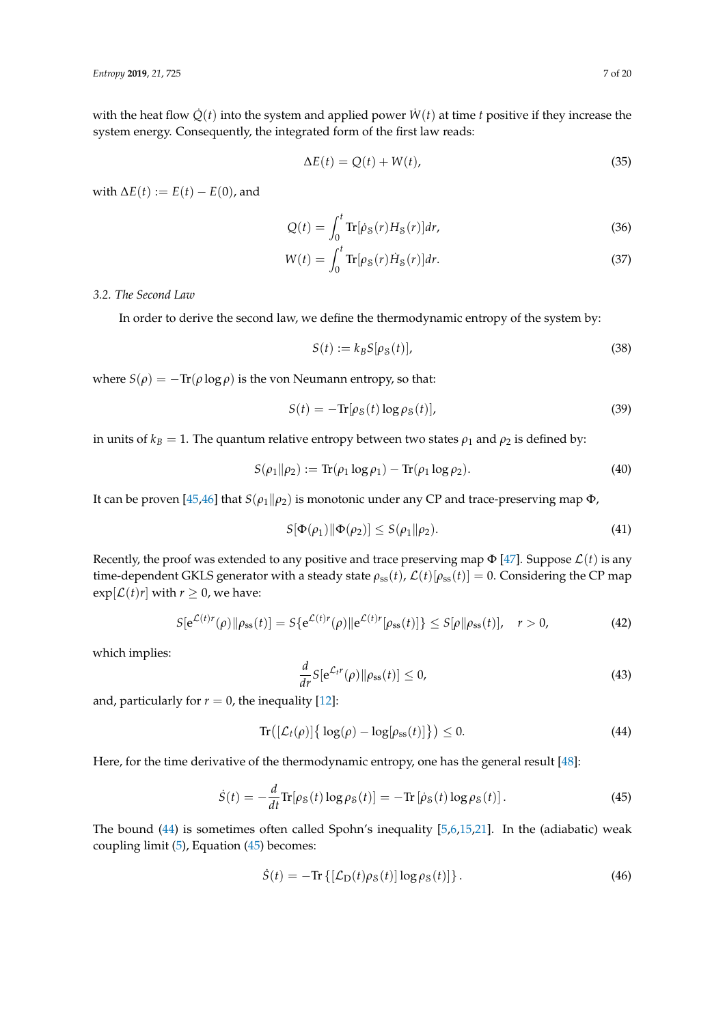with the heat flow  $\dot{Q}(t)$  into the system and applied power  $\dot{W}(t)$  at time *t* positive if they increase the system energy. Consequently, the integrated form of the first law reads:

$$
\Delta E(t) = Q(t) + W(t),\tag{35}
$$

with  $\Delta E(t) := E(t) - E(0)$ , and

$$
Q(t) = \int_0^t \text{Tr}[\dot{\rho}_S(r)H_S(r)]dr,
$$
\n(36)

$$
W(t) = \int_0^t \text{Tr}[\rho_\text{S}(r)\dot{H}_\text{S}(r)]dr.
$$
\n(37)

# *3.2. The Second Law*

In order to derive the second law, we define the thermodynamic entropy of the system by:

$$
S(t) := k_B S[\rho_S(t)],\tag{38}
$$

where  $S(\rho) = -\text{Tr}(\rho \log \rho)$  is the von Neumann entropy, so that:

$$
S(t) = -\text{Tr}[\rho_{\mathcal{S}}(t) \log \rho_{\mathcal{S}}(t)],\tag{39}
$$

in units of  $k_B = 1$ . The quantum relative entropy between two states  $\rho_1$  and  $\rho_2$  is defined by:

$$
S(\rho_1 \| \rho_2) := \text{Tr}(\rho_1 \log \rho_1) - \text{Tr}(\rho_1 \log \rho_2). \tag{40}
$$

It can be proven [\[45,](#page-18-17)[46\]](#page-18-18) that  $S(\rho_1||\rho_2)$  is monotonic under any CP and trace-preserving map  $\Phi$ ,

<span id="page-6-3"></span>
$$
S[\Phi(\rho_1)\|\Phi(\rho_2)] \le S(\rho_1\|\rho_2). \tag{41}
$$

Recently, the proof was extended to any positive and trace preserving map  $\Phi$  [\[47\]](#page-19-0). Suppose  $\mathcal{L}(t)$  is any time-dependent GKLS generator with a steady state  $\rho_{ss}(t)$ ,  $\mathcal{L}(t)[\rho_{ss}(t)] = 0$ . Considering the CP map  $\exp[\mathcal{L}(t)r]$  with  $r \geq 0$ , we have:

$$
S[e^{\mathcal{L}(t)r}(\rho)||\rho_{\rm ss}(t)] = S\{e^{\mathcal{L}(t)r}(\rho)||e^{\mathcal{L}(t)r}[\rho_{\rm ss}(t)]\} \le S[\rho||\rho_{\rm ss}(t)], \quad r > 0,
$$
\n(42)

which implies:

$$
\frac{d}{dr}S[e^{\mathcal{L}_t r}(\rho)\|\rho_{ss}(t)] \le 0,
$$
\n(43)

and, particularly for  $r = 0$ , the inequality [\[12\]](#page-17-9):

<span id="page-6-0"></span>
$$
\operatorname{Tr}\left(\left[\mathcal{L}_t(\rho)\right]\left\{\log(\rho) - \log[\rho_{\rm ss}(t)]\right\}\right) \le 0. \tag{44}
$$

Here, for the time derivative of the thermodynamic entropy, one has the general result [\[48\]](#page-19-1):

<span id="page-6-1"></span>
$$
\dot{S}(t) = -\frac{d}{dt}\text{Tr}[\rho_{\mathcal{S}}(t)\log\rho_{\mathcal{S}}(t)] = -\text{Tr}[\dot{\rho}_{\mathcal{S}}(t)\log\rho_{\mathcal{S}}(t)].\tag{45}
$$

The bound [\(44\)](#page-6-0) is sometimes often called Spohn's inequality [\[5,](#page-17-8)[6,](#page-17-3)[15,](#page-17-12)[21\]](#page-18-19). In the (adiabatic) weak coupling limit [\(5\)](#page-2-2), Equation [\(45\)](#page-6-1) becomes:

<span id="page-6-2"></span>
$$
\dot{S}(t) = -\text{Tr}\left\{ \left[ \mathcal{L}_{\text{D}}(t)\rho_{\text{S}}(t) \right] \log \rho_{\text{S}}(t) \right\}. \tag{46}
$$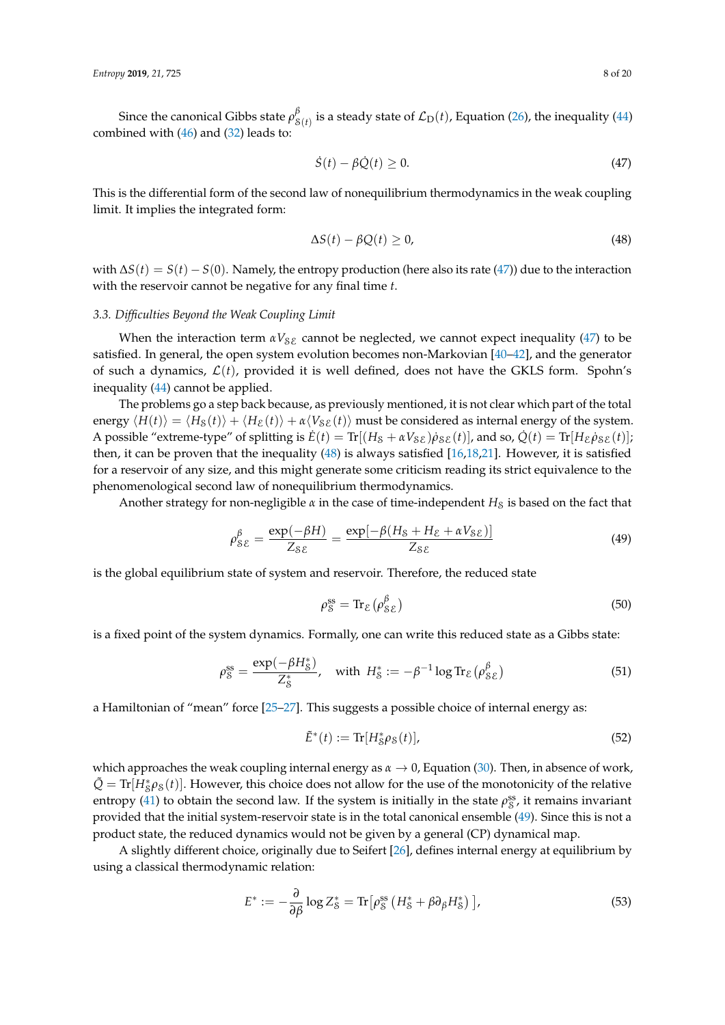Since the canonical Gibbs state *ρ β*  $S(t)$  is a steady state of  $\mathcal{L}_{\mathrm{D}}(t)$ , Equation [\(26\)](#page-5-2), the inequality [\(44\)](#page-6-0) combined with  $(46)$  and  $(32)$  leads to:

<span id="page-7-0"></span>
$$
\dot{S}(t) - \beta \dot{Q}(t) \ge 0. \tag{47}
$$

This is the differential form of the second law of nonequilibrium thermodynamics in the weak coupling limit. It implies the integrated form:

<span id="page-7-1"></span>
$$
\Delta S(t) - \beta Q(t) \ge 0,\tag{48}
$$

with ∆*S*(*t*) = *S*(*t*) − *S*(0). Namely, the entropy production (here also its rate [\(47\)](#page-7-0)) due to the interaction with the reservoir cannot be negative for any final time *t*.

# *3.3. Difficulties Beyond the Weak Coupling Limit*

When the interaction term  $\alpha V_{\delta\mathcal{E}}$  cannot be neglected, we cannot expect inequality [\(47\)](#page-7-0) to be satisfied. In general, the open system evolution becomes non-Markovian [\[40](#page-18-13)[–42\]](#page-18-14), and the generator of such a dynamics,  $\mathcal{L}(t)$ , provided it is well defined, does not have the GKLS form. Spohn's inequality [\(44\)](#page-6-0) cannot be applied.

The problems go a step back because, as previously mentioned, it is not clear which part of the total energy  $\langle H(t) \rangle = \langle H_\mathcal{S}(t) \rangle + \langle H_\mathcal{E}(t) \rangle + \alpha \langle V_{\mathcal{S}\mathcal{E}}(t) \rangle$  must be considered as internal energy of the system. A possible "extreme-type" of splitting is  $\dot{E}(t) = \text{Tr}[(H_{\mathcal{S}} + \alpha V_{\mathcal{S}\mathcal{E}})\dot{\rho}_{\mathcal{S}\mathcal{E}}(t)]$ , and so,  $\dot{Q}(t) = \text{Tr}[H_{\mathcal{E}}\dot{\rho}_{\mathcal{S}\mathcal{E}}(t)]$ ; then, it can be proven that the inequality [\(48\)](#page-7-1) is always satisfied [\[16,](#page-17-13)[18,](#page-17-14)[21\]](#page-18-19). However, it is satisfied for a reservoir of any size, and this might generate some criticism reading its strict equivalence to the phenomenological second law of nonequilibrium thermodynamics.

Another strategy for non-negligible  $\alpha$  in the case of time-independent  $H_S$  is based on the fact that

<span id="page-7-2"></span>
$$
\rho_{\mathcal{S}\mathcal{E}}^{\beta} = \frac{\exp(-\beta H)}{Z_{\mathcal{S}\mathcal{E}}} = \frac{\exp[-\beta (H_{\mathcal{S}} + H_{\mathcal{E}} + \alpha V_{\mathcal{S}\mathcal{E}})]}{Z_{\mathcal{S}\mathcal{E}}} \tag{49}
$$

is the global equilibrium state of system and reservoir. Therefore, the reduced state

$$
\rho_S^{\rm ss} = \text{Tr}_{\mathcal{E}} \left( \rho_{\mathcal{SE}}^{\beta} \right) \tag{50}
$$

is a fixed point of the system dynamics. Formally, one can write this reduced state as a Gibbs state:

<span id="page-7-3"></span>
$$
\rho_S^{\rm ss} = \frac{\exp(-\beta H_S^*)}{Z_S^*}, \quad \text{with } H_S^* := -\beta^{-1} \log \text{Tr}_{\mathcal{E}}\left(\rho_{\mathcal{SE}}^\beta\right) \tag{51}
$$

a Hamiltonian of "mean" force [\[25](#page-18-1)[–27\]](#page-18-2). This suggests a possible choice of internal energy as:

$$
\tilde{E}^*(t) := \text{Tr}[H^*_{\mathcal{S}}\rho_{\mathcal{S}}(t)],\tag{52}
$$

which approaches the weak coupling internal energy as *α* → 0, Equation [\(30\)](#page-5-1). Then, in absence of work,  $\tilde{Q} = \text{Tr}[H^*_S \rho_S(t)]$ . However, this choice does not allow for the use of the monotonicity of the relative entropy [\(41\)](#page-6-3) to obtain the second law. If the system is initially in the state  $\rho_S^{ss}$ , it remains invariant provided that the initial system-reservoir state is in the total canonical ensemble [\(49\)](#page-7-2). Since this is not a product state, the reduced dynamics would not be given by a general (CP) dynamical map.

A slightly different choice, originally due to Seifert [\[26\]](#page-18-20), defines internal energy at equilibrium by using a classical thermodynamic relation:

<span id="page-7-4"></span>
$$
E^* := -\frac{\partial}{\partial \beta} \log Z^*_{\mathcal{S}} = \text{Tr} \left[ \rho^{\text{ss}}_{\mathcal{S}} \left( H^*_{\mathcal{S}} + \beta \partial_{\beta} H^*_{\mathcal{S}} \right) \right],\tag{53}
$$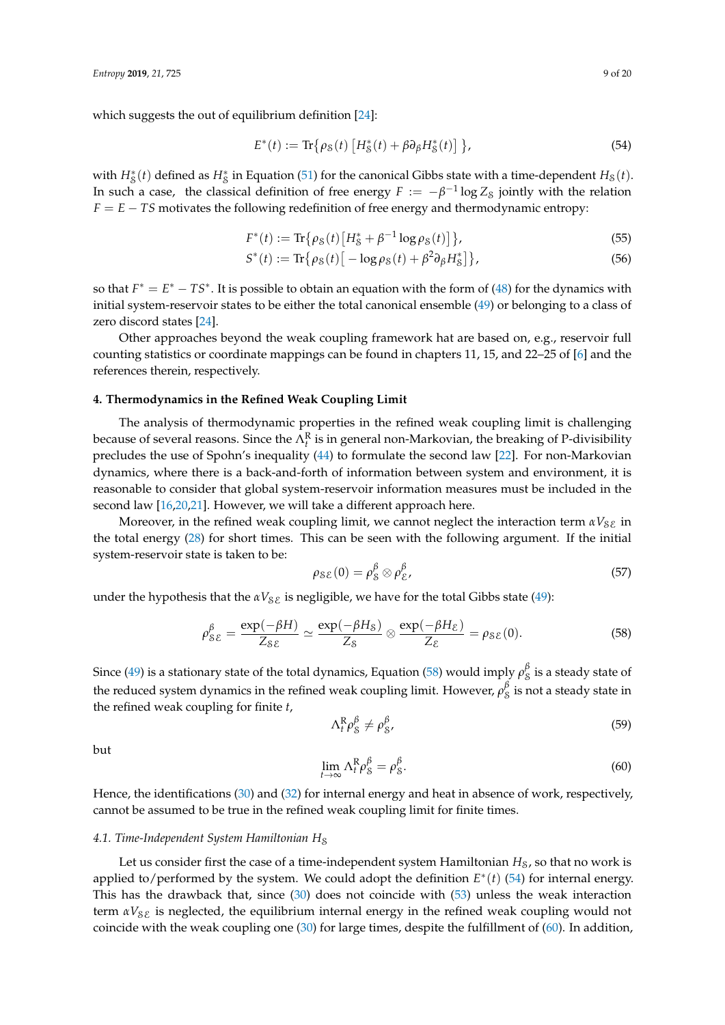which suggests the out of equilibrium definition [\[24\]](#page-18-0):

<span id="page-8-2"></span>
$$
E^*(t) := \text{Tr}\{\rho_\mathcal{S}(t) \left[ H^*_\mathcal{S}(t) + \beta \partial_\beta H^*_\mathcal{S}(t) \right] \},\tag{54}
$$

with  $H_s^*(t)$  defined as  $H_s^*$  in Equation [\(51\)](#page-7-3) for the canonical Gibbs state with a time-dependent  $H_s(t)$ . In such a case, the classical definition of free energy  $F := -\beta^{-1} \log Z_{\mathcal{S}}$  jointly with the relation *F* = *E* − *TS* motivates the following redefinition of free energy and thermodynamic entropy:

$$
F^*(t) := \text{Tr}\{\rho_S(t) \left[H_S^* + \beta^{-1} \log \rho_S(t)\right]\},\tag{55}
$$

$$
S^*(t) := \text{Tr}\{\rho_\mathcal{S}(t) \left[ -\log \rho_\mathcal{S}(t) + \beta^2 \partial_\beta H^*_{\mathcal{S}} \right] \},\tag{56}
$$

so that  $F^* = E^* - TS^*$ . It is possible to obtain an equation with the form of  $(48)$  for the dynamics with initial system-reservoir states to be either the total canonical ensemble [\(49\)](#page-7-2) or belonging to a class of zero discord states [\[24\]](#page-18-0).

Other approaches beyond the weak coupling framework hat are based on, e.g., reservoir full counting statistics or coordinate mappings can be found in chapters 11, 15, and 22–25 of [\[6\]](#page-17-3) and the references therein, respectively.

### <span id="page-8-0"></span>**4. Thermodynamics in the Refined Weak Coupling Limit**

The analysis of thermodynamic properties in the refined weak coupling limit is challenging because of several reasons. Since the  $\Lambda_t^R$  is in general non-Markovian, the breaking of P-divisibility precludes the use of Spohn's inequality [\(44\)](#page-6-0) to formulate the second law [\[22\]](#page-18-21). For non-Markovian dynamics, where there is a back-and-forth of information between system and environment, it is reasonable to consider that global system-reservoir information measures must be included in the second law [\[16,](#page-17-13)[20,](#page-17-15)[21\]](#page-18-19). However, we will take a different approach here.

Moreover, in the refined weak coupling limit, we cannot neglect the interaction term  $\alpha V_{\rm SE}$  in the total energy [\(28\)](#page-5-4) for short times. This can be seen with the following argument. If the initial system-reservoir state is taken to be:

$$
\rho_{\mathcal{SE}}(0) = \rho_{\mathcal{S}}^{\beta} \otimes \rho_{\mathcal{E}}^{\beta},\tag{57}
$$

under the hypothesis that the  $\alpha V_{\text{S}E}$  is negligible, we have for the total Gibbs state [\(49\)](#page-7-2):

<span id="page-8-1"></span>
$$
\rho_{\mathcal{SE}}^{\beta} = \frac{\exp(-\beta H)}{Z_{\mathcal{SE}}} \simeq \frac{\exp(-\beta H_{\mathcal{S}})}{Z_{\mathcal{S}}} \otimes \frac{\exp(-\beta H_{\mathcal{E}})}{Z_{\mathcal{E}}} = \rho_{\mathcal{SE}}(0). \tag{58}
$$

Since [\(49\)](#page-7-2) is a stationary state of the total dynamics, Equation [\(58\)](#page-8-1) would imply  $\rho_S^{\beta}$  is a steady state of the reduced system dynamics in the refined weak coupling limit. However,  $\rho_S^{\beta}$  is not a steady state in the refined weak coupling for finite *t*,

<span id="page-8-4"></span>
$$
\Lambda_{t}^{\mathrm{R}} \rho_{\mathrm{S}}^{\beta} \neq \rho_{\mathrm{S}}^{\beta},\tag{59}
$$

but

<span id="page-8-3"></span>
$$
\lim_{t \to \infty} \Lambda_t^{\mathcal{R}} \rho_{\mathcal{S}}^{\beta} = \rho_{\mathcal{S}}^{\beta}.
$$
\n(60)

Hence, the identifications [\(30\)](#page-5-1) and [\(32\)](#page-5-3) for internal energy and heat in absence of work, respectively, cannot be assumed to be true in the refined weak coupling limit for finite times.

#### 4.1. Time-Independent System Hamiltonian H<sub>S</sub>

Let us consider first the case of a time-independent system Hamiltonian *H*<sub>S</sub>, so that no work is applied to/performed by the system. We could adopt the definition  $E^*(t)$  [\(54\)](#page-8-2) for internal energy. This has the drawback that, since [\(30\)](#page-5-1) does not coincide with [\(53\)](#page-7-4) unless the weak interaction term  $\alpha V_{\delta\mathcal{E}}$  is neglected, the equilibrium internal energy in the refined weak coupling would not coincide with the weak coupling one [\(30\)](#page-5-1) for large times, despite the fulfillment of [\(60\)](#page-8-3). In addition,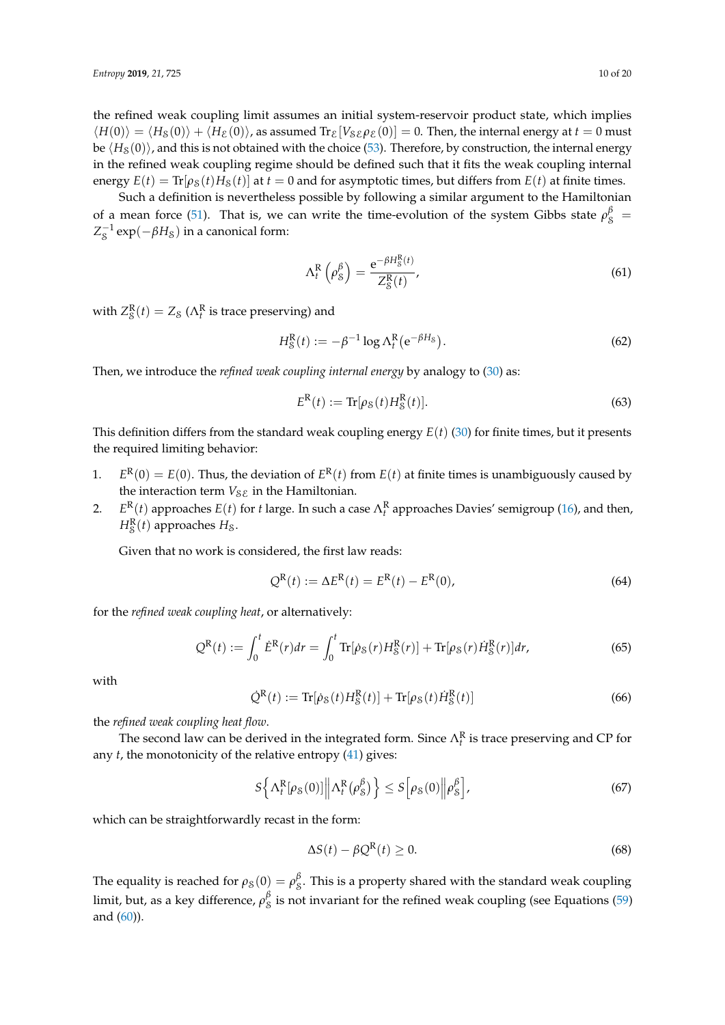the refined weak coupling limit assumes an initial system-reservoir product state, which implies  $\langle H(0)\rangle = \langle H_S(0)\rangle + \langle H_{\mathcal{E}}(0)\rangle$ , as assumed Tr<sub>E</sub>[*V<sub>SE</sub>* $\rho_{\mathcal{E}}(0)$ ] = 0. Then, the internal energy at  $t = 0$  must be  $\langle H_8(0) \rangle$ , and this is not obtained with the choice [\(53\)](#page-7-4). Therefore, by construction, the internal energy in the refined weak coupling regime should be defined such that it fits the weak coupling internal energy  $E(t) = \text{Tr}[\rho_S(t)H_S(t)]$  at  $t = 0$  and for asymptotic times, but differs from  $E(t)$  at finite times.

Such a definition is nevertheless possible by following a similar argument to the Hamiltonian of a mean force [\(51\)](#page-7-3). That is, we can write the time-evolution of the system Gibbs state  $\rho_8^{\beta}$  =  $Z_S^{-1} \exp(-\beta H_{\rm S})$  in a canonical form:

<span id="page-9-1"></span>
$$
\Lambda_t^{\mathcal{R}}\left(\rho_{\mathcal{S}}^{\beta}\right) = \frac{e^{-\beta H_{\mathcal{S}}^{\mathcal{R}}(t)}}{Z_{\mathcal{S}}^{\mathcal{R}}(t)},\tag{61}
$$

with  $Z_{\mathcal{S}}^{\mathbf{R}}(t) = Z_{\mathcal{S}}(\Lambda_t^{\mathbf{R}})$  is trace preserving) and

$$
H_S^R(t) := -\beta^{-1} \log \Lambda_t^R \left( e^{-\beta H_S} \right). \tag{62}
$$

Then, we introduce the *refined weak coupling internal energy* by analogy to [\(30\)](#page-5-1) as:

<span id="page-9-0"></span>
$$
ER(t) := \text{Tr}[\rho_{\mathcal{S}}(t)H_{\mathcal{S}}^{R}(t)].
$$
\n(63)

This definition differs from the standard weak coupling energy  $E(t)$  [\(30\)](#page-5-1) for finite times, but it presents the required limiting behavior:

- 1. *E*  $R(0) = E(0)$ . Thus, the deviation of  $E^{R}(t)$  from  $E(t)$  at finite times is unambiguously caused by the interaction term  $V_{\delta\mathcal{E}}$  in the Hamiltonian.
- 2. *E*  $R(t)$  approaches  $E(t)$  for *t* large. In such a case  $Λ_t^R$  approaches Davies' semigroup [\(16\)](#page-3-4), and then,  $H_{\mathcal{S}}^{\mathbb{R}}(t)$  approaches  $H_{\mathcal{S}}$ .

Given that no work is considered, the first law reads:

<span id="page-9-3"></span>
$$
Q^{R}(t) := \Delta E^{R}(t) = E^{R}(t) - E^{R}(0),
$$
\n(64)

for the *refined weak coupling heat*, or alternatively:

$$
Q^{R}(t) := \int_{0}^{t} \dot{E}^{R}(r) dr = \int_{0}^{t} \text{Tr}[\dot{\rho}_{S}(r)H_{S}^{R}(r)] + \text{Tr}[\rho_{S}(r)\dot{H}_{S}^{R}(r)] dr,
$$
 (65)

with

<span id="page-9-2"></span>
$$
\dot{Q}^R(t) := \text{Tr}[\dot{\rho}_S(t)H^R_S(t)] + \text{Tr}[\rho_S(t)\dot{H}^R_S(t)] \tag{66}
$$

the *refined weak coupling heat flow*.

The second law can be derived in the integrated form. Since  $\Lambda_t^R$  is trace preserving and CP for any *t*, the monotonicity of the relative entropy [\(41\)](#page-6-3) gives:

$$
S\left\{\Lambda_t^R[\rho_S(0)] \middle\| \Lambda_t^R(\rho_S^\beta)\right\} \le S\left[\rho_S(0) \middle\| \rho_S^\beta\right],\tag{67}
$$

which can be straightforwardly recast in the form:

<span id="page-9-4"></span>
$$
\Delta S(t) - \beta Q^R(t) \ge 0. \tag{68}
$$

The equality is reached for  $\rho_8(0) = \rho_8^{\beta}$ . This is a property shared with the standard weak coupling limit, but, as a key difference,  $\rho_S^\beta$  is not invariant for the refined weak coupling (see Equations [\(59\)](#page-8-4) and [\(60\)](#page-8-3)).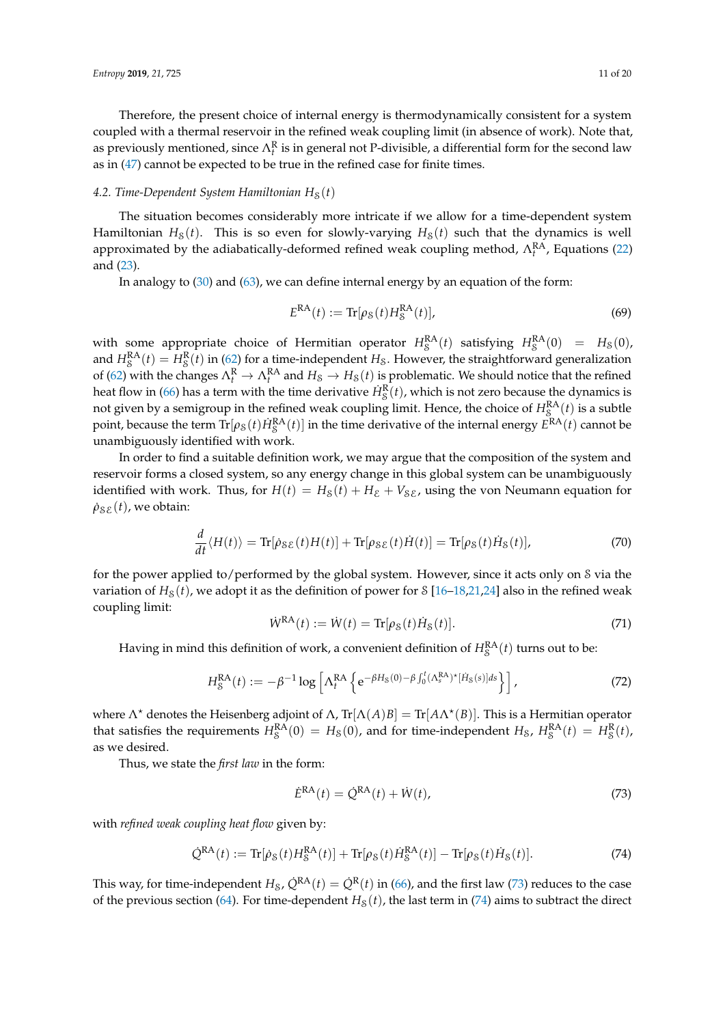Therefore, the present choice of internal energy is thermodynamically consistent for a system coupled with a thermal reservoir in the refined weak coupling limit (in absence of work). Note that, as previously mentioned, since  $\Lambda_t^R$  is in general not P-divisible, a differential form for the second law as in [\(47\)](#page-7-0) cannot be expected to be true in the refined case for finite times.

# 4.2. Time-Dependent System Hamiltonian  $H_8(t)$

The situation becomes considerably more intricate if we allow for a time-dependent system Hamiltonian  $H<sub>S</sub>(t)$ . This is so even for slowly-varying  $H<sub>S</sub>(t)$  such that the dynamics is well approximated by the adiabatically-deformed refined weak coupling method,  $Λ<sub>t</sub><sup>RA</sup>$ , Equations [\(22\)](#page-4-1) and [\(23\)](#page-4-2).

In analogy to [\(30\)](#page-5-1) and [\(63\)](#page-9-0), we can define internal energy by an equation of the form:

$$
ERA(t) := Tr[\rho_S(t)H_SRA(t)],
$$
\n(69)

with some appropriate choice of Hermitian operator  $H_S^{RA}(t)$  satisfying  $H_S^{RA}(0) = H_S(0)$ , and  $H_S^{\text{RA}}(t) = H_S^{\text{R}}(t)$  in [\(62\)](#page-9-1) for a time-independent  $H_S$ . However, the straightforward generalization of [\(62\)](#page-9-1) with the changes  $\Lambda_t^R \to \Lambda_t^{RA}$  and  $H_s \to H_s(t)$  is problematic. We should notice that the refined heat flow in [\(66\)](#page-9-2) has a term with the time derivative  $\dot{H}^{\rm R}_\text{S}(t)$ , which is not zero because the dynamics is not given by a semigroup in the refined weak coupling limit. Hence, the choice of  $H_S^{\text{RA}}(t)$  is a subtle point, because the term  $\text{Tr}[\rho_{\rm S}(t)\dot{H}_{\rm S}^{\rm RA}(t)]$  in the time derivative of the internal energy  $E^{\rm RA}(t)$  cannot be unambiguously identified with work.

In order to find a suitable definition work, we may argue that the composition of the system and reservoir forms a closed system, so any energy change in this global system can be unambiguously identified with work. Thus, for  $H(t) = H<sub>S</sub>(t) + H<sub>E</sub> + V<sub>S</sub>\varepsilon$ , using the von Neumann equation for  $\rho_{\rm SE}(t)$ , we obtain:

$$
\frac{d}{dt}\langle H(t)\rangle = \text{Tr}[\dot{\rho}_{\mathcal{S}\mathcal{E}}(t)H(t)] + \text{Tr}[\rho_{\mathcal{S}\mathcal{E}}(t)\dot{H}(t)] = \text{Tr}[\rho_{\mathcal{S}}(t)\dot{H}_{\mathcal{S}}(t)],\tag{70}
$$

for the power applied to/performed by the global system. However, since it acts only on S via the variation of  $H_8(t)$ , we adopt it as the definition of power for S [\[16](#page-17-13)[–18](#page-17-14)[,21](#page-18-19)[,24\]](#page-18-0) also in the refined weak coupling limit:

<span id="page-10-2"></span>
$$
\dot{W}^{\text{RA}}(t) := \dot{W}(t) = \text{Tr}[\rho_{\text{S}}(t)\dot{H}_{\text{S}}(t)].\tag{71}
$$

Having in mind this definition of work, a convenient definition of  $H^{\text{RA}}_{\text{S}}(t)$  turns out to be:

<span id="page-10-3"></span>
$$
H_S^{\rm RA}(t) := -\beta^{-1} \log \left[ \Lambda_t^{\rm RA} \left\{ e^{-\beta H_S(0) - \beta \int_0^t (\Lambda_s^{\rm RA})^\star [\dot{H}_S(s)] ds} \right\} \right],\tag{72}
$$

where  $\Lambda^*$  denotes the Heisenberg adjoint of  $\Lambda$ , Tr $[\Lambda(A)B] = \text{Tr}[A\Lambda^*(B)]$ . This is a Hermitian operator that satisfies the requirements  $H_S^{RA}(0) = H_S(0)$ , and for time-independent  $H_S$ ,  $H_S^{RA}(t) = H_S^{R}(t)$ , as we desired.

Thus, we state the *first law* in the form:

<span id="page-10-0"></span>
$$
\dot{E}^{\rm RA}(t) = \dot{Q}^{\rm RA}(t) + \dot{W}(t),\tag{73}
$$

with *refined weak coupling heat flow* given by:

<span id="page-10-1"></span>
$$
\dot{Q}^{RA}(t) := \text{Tr}[\dot{\rho}_S(t)H_S^{RA}(t)] + \text{Tr}[\rho_S(t)\dot{H}_S^{RA}(t)] - \text{Tr}[\rho_S(t)\dot{H}_S(t)].
$$
\n(74)

This way, for time-independent  $H_S$ ,  $\dot{Q}^{RA}(t) = \dot{Q}^{R}(t)$  in [\(66\)](#page-9-2), and the first law [\(73\)](#page-10-0) reduces to the case of the previous section [\(64\)](#page-9-3). For time-dependent  $H<sub>S</sub>(t)$ , the last term in [\(74\)](#page-10-1) aims to subtract the direct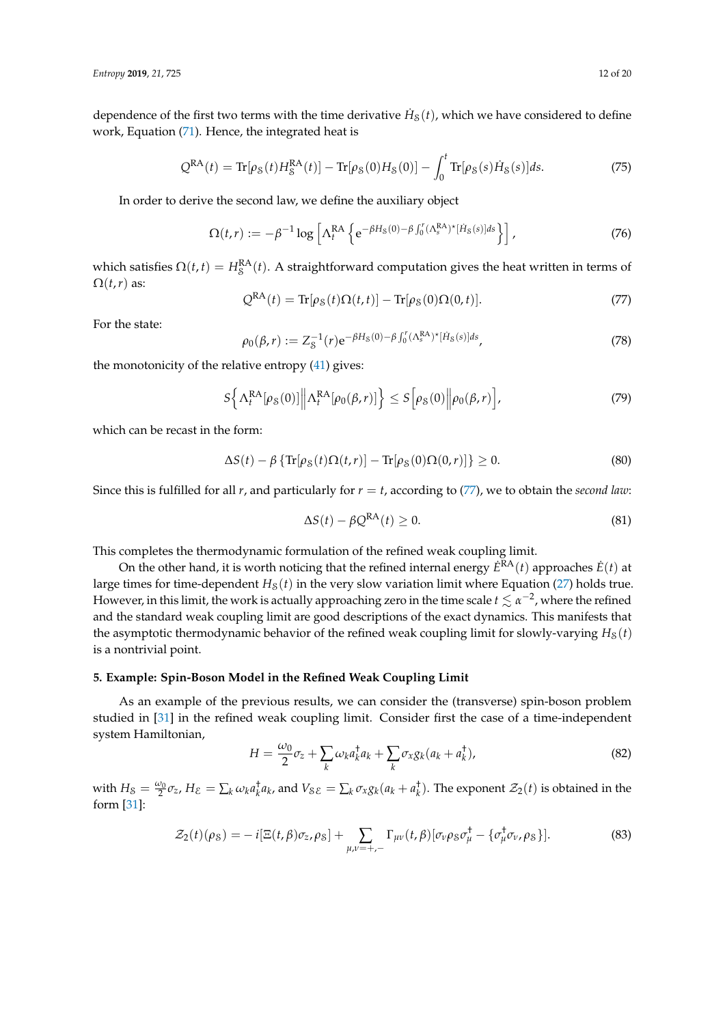dependence of the first two terms with the time derivative  $\dot{H}_\text{S}(t)$ , which we have considered to define work, Equation [\(71\)](#page-10-2). Hence, the integrated heat is

$$
Q^{RA}(t) = \text{Tr}[\rho_S(t)H_S^{RA}(t)] - \text{Tr}[\rho_S(0)H_S(0)] - \int_0^t \text{Tr}[\rho_S(s)\dot{H}_S(s)]ds.
$$
 (75)

In order to derive the second law, we define the auxiliary object

$$
\Omega(t,r) := -\beta^{-1} \log \left[ \Lambda_t^{\text{RA}} \left\{ e^{-\beta H_S(0) - \beta \int_0^r (\Lambda_s^{\text{RA}})^{\star} [\dot{H}_S(s)] ds} \right\} \right],
$$
\n(76)

which satisfies  $\Omega(t,t) = H_S^{\rm RA}(t)$ . A straightforward computation gives the heat written in terms of  $\Omega(t,r)$  as:

<span id="page-11-1"></span>
$$
Q^{RA}(t) = \text{Tr}[\rho_S(t)\Omega(t,t)] - \text{Tr}[\rho_S(0)\Omega(0,t)].
$$
\n(77)

For the state:

$$
\rho_0(\beta, r) := Z_S^{-1}(r) e^{-\beta H_S(0) - \beta \int_0^r (\Lambda_s^{RA})^* [\dot{H}_S(s)] ds}, \tag{78}
$$

the monotonicity of the relative entropy [\(41\)](#page-6-3) gives:

$$
S\left\{\Lambda_t^{\text{RA}}[\rho_\mathcal{S}(0)] \middle\| \Lambda_t^{\text{RA}}[\rho_0(\beta, r)]\right\} \le S\left[\rho_\mathcal{S}(0) \middle\| \rho_0(\beta, r)\right],\tag{79}
$$

which can be recast in the form:

$$
\Delta S(t) - \beta \left\{ \text{Tr}[\rho_S(t)\Omega(t,r)] - \text{Tr}[\rho_S(0)\Omega(0,r)] \right\} \ge 0.
$$
\n(80)

Since this is fulfilled for all *r*, and particularly for  $r = t$ , according to [\(77\)](#page-11-1), we to obtain the *second law*:

$$
\Delta S(t) - \beta Q^{\text{RA}}(t) \ge 0. \tag{81}
$$

This completes the thermodynamic formulation of the refined weak coupling limit.

On the other hand, it is worth noticing that the refined internal energy  $\dot{E}^{RA}(t)$  approaches  $\dot{E}(t)$  at large times for time-dependent  $H_8(t)$  in the very slow variation limit where Equation [\(27\)](#page-5-5) holds true. However, in this limit, the work is actually approaching zero in the time scale  $t\lesssim\alpha^{-2}$ , where the refined and the standard weak coupling limit are good descriptions of the exact dynamics. This manifests that the asymptotic thermodynamic behavior of the refined weak coupling limit for slowly-varying  $H<sub>S</sub>(t)$ is a nontrivial point.

## <span id="page-11-0"></span>**5. Example: Spin-Boson Model in the Refined Weak Coupling Limit**

As an example of the previous results, we can consider the (transverse) spin-boson problem studied in [\[31\]](#page-18-4) in the refined weak coupling limit. Consider first the case of a time-independent system Hamiltonian,

<span id="page-11-2"></span>
$$
H = \frac{\omega_0}{2}\sigma_z + \sum_k \omega_k a_k^\dagger a_k + \sum_k \sigma_x g_k (a_k + a_k^\dagger), \tag{82}
$$

with  $H_8 = \frac{\omega_0}{2} \sigma_z$ ,  $H_{\mathcal{E}} = \sum_k \omega_k a_k^{\dagger} a_k$ , and  $V_{\mathcal{SE}} = \sum_k \sigma_x g_k (a_k + a_k^{\dagger})$ . The exponent  $\mathcal{Z}_2(t)$  is obtained in the form [\[31\]](#page-18-4):

$$
\mathcal{Z}_2(t)(\rho_S) = -i[\Xi(t,\beta)\sigma_z,\rho_S] + \sum_{\mu,\nu=+,-} \Gamma_{\mu\nu}(t,\beta)[\sigma_\nu \rho_S \sigma_\mu^\dagger - \{\sigma_\mu^\dagger \sigma_\nu,\rho_S\}].\tag{83}
$$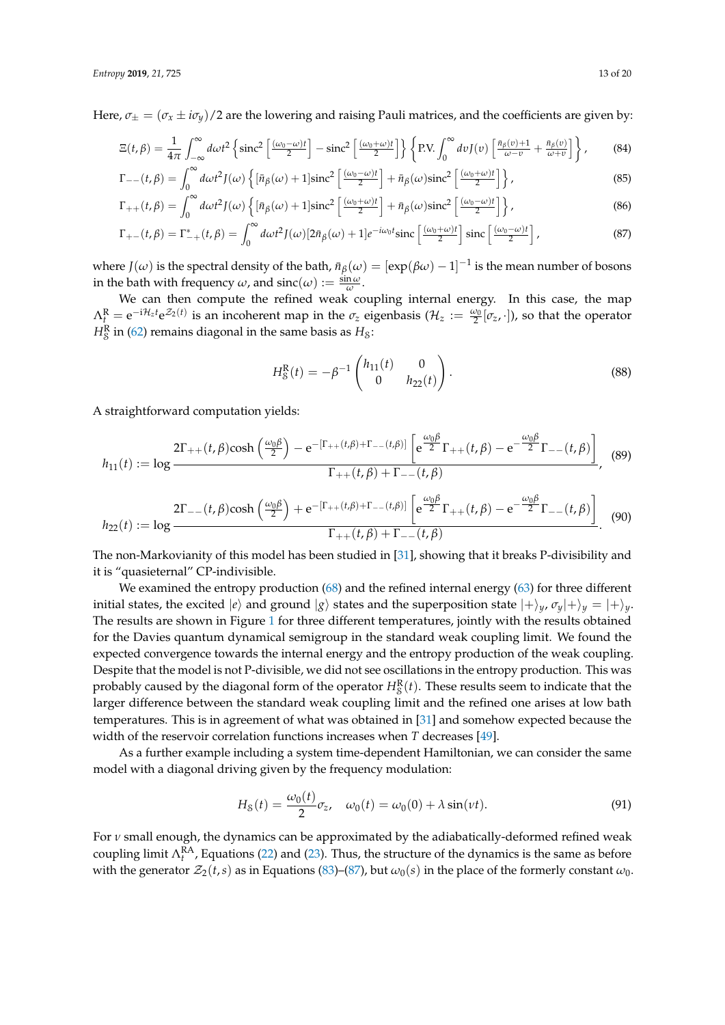Here,  $\sigma_{\pm} = (\sigma_x \pm i\sigma_y)/2$  are the lowering and raising Pauli matrices, and the coefficients are given by:

$$
\Xi(t,\beta) = \frac{1}{4\pi} \int_{-\infty}^{\infty} d\omega t^2 \left\{ \mathrm{sinc}^2 \left[ \frac{(\omega_0 - \omega)t}{2} \right] - \mathrm{sinc}^2 \left[ \frac{(\omega_0 + \omega)t}{2} \right] \right\} \left\{ \mathrm{P.V.} \int_{0}^{\infty} dv J(v) \left[ \frac{\bar{n}_{\beta}(v) + 1}{\omega - v} + \frac{\bar{n}_{\beta}(v)}{\omega + v} \right] \right\},\tag{84}
$$

$$
\Gamma_{--}(t,\beta) = \int_0^\infty d\omega t^2 J(\omega) \left\{ \left[ \bar{n}_{\beta}(\omega) + 1 \right] \mathrm{sinc}^2 \left[ \frac{(\omega_0 - \omega)t}{2} \right] + \bar{n}_{\beta}(\omega) \mathrm{sinc}^2 \left[ \frac{(\omega_0 + \omega)t}{2} \right] \right\},\tag{85}
$$

$$
\Gamma_{++}(t,\beta) = \int_0^\infty d\omega t^2 J(\omega) \left\{ \left[ \bar{n}_{\beta}(\omega) + 1 \right] \mathrm{sinc}^2 \left[ \frac{(\omega_0 + \omega)t}{2} \right] + \bar{n}_{\beta}(\omega) \mathrm{sinc}^2 \left[ \frac{(\omega_0 - \omega)t}{2} \right] \right\},\tag{86}
$$

$$
\Gamma_{+-}(t,\beta) = \Gamma_{-+}^*(t,\beta) = \int_0^\infty d\omega t^2 J(\omega) \left[2\bar{n}_\beta(\omega) + 1\right] e^{-i\omega_0 t} \operatorname{sinc}\left[\frac{(\omega_0 + \omega)t}{2}\right] \operatorname{sinc}\left[\frac{(\omega_0 - \omega)t}{2}\right],\tag{87}
$$

where  $J(\omega)$  is the spectral density of the bath,  $\bar{n}_{\beta}(\omega) = [\exp(\beta\omega)-1]^{-1}$  is the mean number of bosons in the bath with frequency  $\omega$ , and  $\operatorname{sinc}(\omega) := \frac{\sin \omega}{\omega}$ .

We can then compute the refined weak coupling internal energy. In this case, the map  $\Lambda_t^R = e^{-i\mathcal{H}_z t} e^{\mathcal{Z}_2(t)}$  is an incoherent map in the  $\sigma_z$  eigenbasis  $(\mathcal{H}_z := \frac{\omega_0}{2} [\sigma_z, \cdot]$ ), so that the operator  $H_8^{\rm R}$  in [\(62\)](#page-9-1) remains diagonal in the same basis as  $H_8$ :

<span id="page-12-0"></span>
$$
H_S^R(t) = -\beta^{-1} \begin{pmatrix} h_{11}(t) & 0 \\ 0 & h_{22}(t) \end{pmatrix}.
$$
 (88)

A straightforward computation yields:

$$
h_{11}(t) := \log \frac{2\Gamma_{++}(t,\beta)\cosh\left(\frac{\omega_0\beta}{2}\right) - e^{-\left[\Gamma_{++}(t,\beta) + \Gamma_{--}(t,\beta)\right]}\left[e^{\frac{\omega_0\beta}{2}}\Gamma_{++}(t,\beta) - e^{-\frac{\omega_0\beta}{2}}\Gamma_{--}(t,\beta)\right]}{\Gamma_{++}(t,\beta) + \Gamma_{--}(t,\beta)}, \quad (89)
$$

$$
h_{22}(t) := \log \frac{2\Gamma_{--}(t,\beta)\cosh\left(\frac{\omega_0\beta}{2}\right) + e^{-\left[\Gamma_{++}(t,\beta) + \Gamma_{--}(t,\beta)\right]}\left[e^{\frac{\omega_0\beta}{2}}\Gamma_{++}(t,\beta) - e^{-\frac{\omega_0\beta}{2}}\Gamma_{--}(t,\beta)\right]}{\Gamma_{++}(t,\beta) + \Gamma_{--}(t,\beta)}.
$$
(90)

The non-Markovianity of this model has been studied in [\[31\]](#page-18-4), showing that it breaks P-divisibility and it is "quasieternal" CP-indivisible.

We examined the entropy production [\(68\)](#page-9-4) and the refined internal energy [\(63\)](#page-9-0) for three different initial states, the excited  $|e\rangle$  and ground  $|g\rangle$  states and the superposition state  $|+\rangle_y$ ,  $\sigma_y|+\rangle_y = |+\rangle_y$ . The results are shown in Figure [1](#page-13-0) for three different temperatures, jointly with the results obtained for the Davies quantum dynamical semigroup in the standard weak coupling limit. We found the expected convergence towards the internal energy and the entropy production of the weak coupling. Despite that the model is not P-divisible, we did not see oscillations in the entropy production. This was probably caused by the diagonal form of the operator  $H_{\mathcal{S}}^{\mathbf{R}}(t)$ . These results seem to indicate that the larger difference between the standard weak coupling limit and the refined one arises at low bath temperatures. This is in agreement of what was obtained in [\[31\]](#page-18-4) and somehow expected because the width of the reservoir correlation functions increases when *T* decreases [\[49\]](#page-19-2).

As a further example including a system time-dependent Hamiltonian, we can consider the same model with a diagonal driving given by the frequency modulation:

$$
H_S(t) = \frac{\omega_0(t)}{2} \sigma_z, \quad \omega_0(t) = \omega_0(0) + \lambda \sin(\nu t). \tag{91}
$$

For *ν* small enough, the dynamics can be approximated by the adiabatically-deformed refined weak coupling limit  $\Lambda_t^{RA}$ , Equations [\(22\)](#page-4-1) and [\(23\)](#page-4-2). Thus, the structure of the dynamics is the same as before with the generator  $\mathcal{Z}_2(t,s)$  as in Equations [\(83\)](#page-11-2)–[\(87\)](#page-12-0), but  $\omega_0(s)$  in the place of the formerly constant  $\omega_0$ .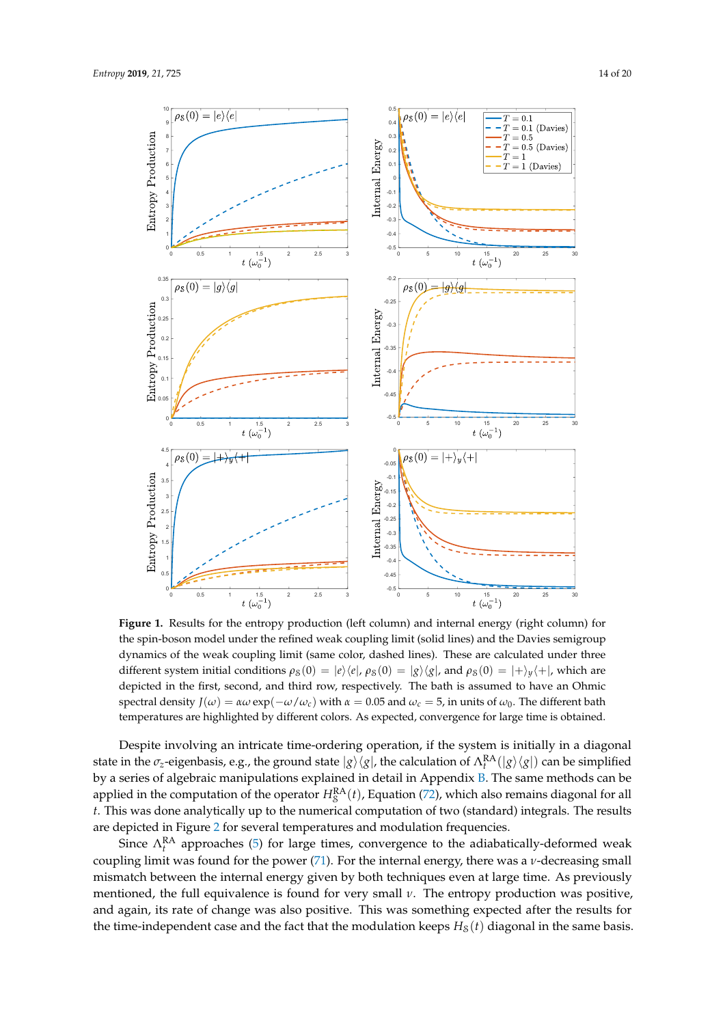<span id="page-13-0"></span>

**Figure 1.** Results for the entropy production (left column) and internal energy (right column) for the spin-boson model under the refined weak coupling limit (solid lines) and the Davies semigroup dynamics of the weak coupling limit (same color, dashed lines). These are calculated under three different system initial conditions  $\rho_S(0) = |e\rangle\langle e|$ ,  $\rho_S(0) = |g\rangle\langle g|$ , and  $\rho_S(0) = |+\rangle_y\langle +|$ , which are depicted in the first, second, and third row, respectively. The bath is assumed to have an Ohmic spectral density  $J(\omega) = \alpha \omega \exp(-\omega/\omega_c)$  with  $\alpha = 0.05$  and  $\omega_c = 5$ , in units of  $\omega_0$ . The different bath temperatures are highlighted by different colors. As expected, convergence for large time is obtained.

Despite involving an intricate time-ordering operation, if the system is initially in a diagonal state in the  $\sigma_z$ -eigenbasis, e.g., the ground state  $|g\rangle\langle g|$ , the calculation of  $\Lambda_t^{\rm RA}(|g\rangle\langle g|)$  can be simplified by a series of algebraic manipulations explained in detail in Appendix [B.](#page-16-0) The same methods can be applied in the computation of the operator  $H_S^{\rm RA}(t)$ , Equation [\(72\)](#page-10-3), which also remains diagonal for all *t*. This was done analytically up to the numerical computation of two (standard) integrals. The results are depicted in Figure [2](#page-14-0) for several temperatures and modulation frequencies.

Since  $\Lambda_t^{\text{RA}}$  approaches [\(5\)](#page-2-2) for large times, convergence to the adiabatically-deformed weak coupling limit was found for the power [\(71\)](#page-10-2). For the internal energy, there was a *ν*-decreasing small mismatch between the internal energy given by both techniques even at large time. As previously mentioned, the full equivalence is found for very small *ν*. The entropy production was positive, and again, its rate of change was also positive. This was something expected after the results for the time-independent case and the fact that the modulation keeps  $H_8(t)$  diagonal in the same basis.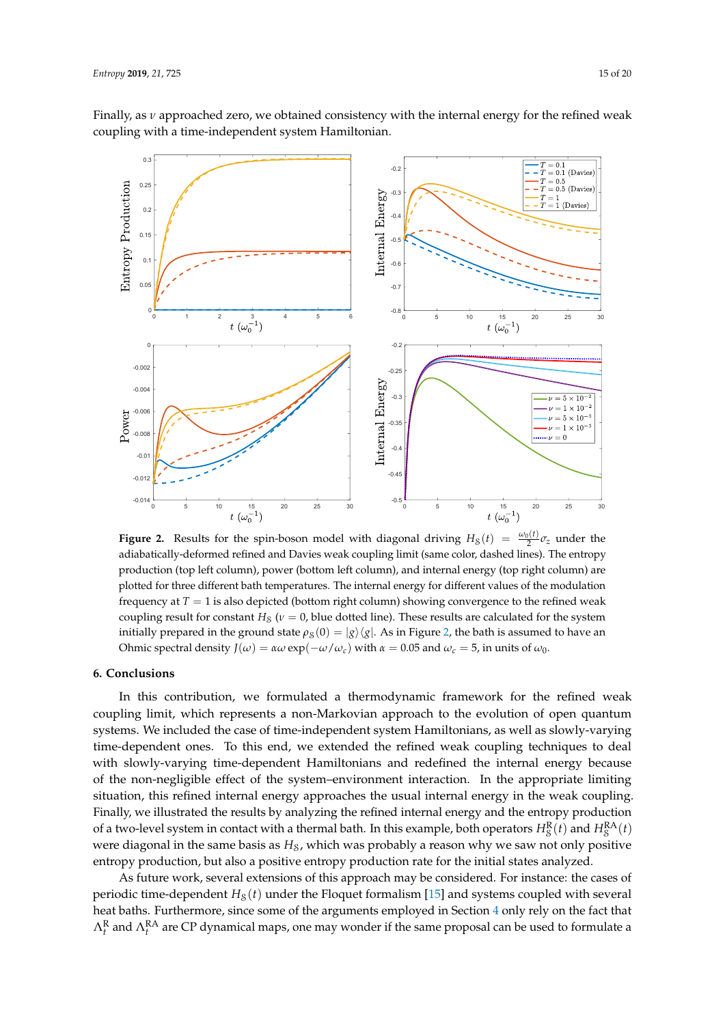Finally, as *ν* approached zero, we obtained consistency with the internal energy for the refined weak coupling with a time-independent system Hamiltonian.

<span id="page-14-0"></span>

**Figure 2.** Results for the spin-boson model with diagonal driving  $H_8(t) = \frac{\omega_0(t)}{2} \sigma_z$  under the adiabatically-deformed refined and Davies weak coupling limit (same color, dashed lines). The entropy production (top left column), power (bottom left column), and internal energy (top right column) are plotted for three different bath temperatures. The internal energy for different values of the modulation frequency at *T* = 1 is also depicted (bottom right column) showing convergence to the refined weak coupling result for constant  $H_S$  ( $\nu = 0$ , blue dotted line). These results are calculated for the system initially prepared in the ground state  $\rho_S(0) = |g\rangle\langle g|$ . As in Figure [2,](#page-14-0) the bath is assumed to have an Ohmic spectral density *J*(*ω*) = *αω* exp(−*ω*/*ω*<sub>*c*</sub>) with *α* = 0.05 and *ω*<sub>*c*</sub> = 5, in units of *ω*<sub>0</sub>.

## **6. Conclusions**

In this contribution, we formulated a thermodynamic framework for the refined weak coupling limit, which represents a non-Markovian approach to the evolution of open quantum systems. We included the case of time-independent system Hamiltonians, as well as slowly-varying time-dependent ones. To this end, we extended the refined weak coupling techniques to deal with slowly-varying time-dependent Hamiltonians and redefined the internal energy because of the non-negligible effect of the system–environment interaction. In the appropriate limiting situation, this refined internal energy approaches the usual internal energy in the weak coupling. Finally, we illustrated the results by analyzing the refined internal energy and the entropy production of a two-level system in contact with a thermal bath. In this example, both operators  $H_S^R(t)$  and  $H_S^{RA}(t)$ were diagonal in the same basis as  $H<sub>S</sub>$ , which was probably a reason why we saw not only positive entropy production, but also a positive entropy production rate for the initial states analyzed.

As future work, several extensions of this approach may be considered. For instance: the cases of periodic time-dependent  $H_S(t)$  under the Floquet formalism [\[15\]](#page-17-12) and systems coupled with several heat baths. Furthermore, since some of the arguments employed in Section [4](#page-8-0) only rely on the fact that  $\Lambda_t^{\rm R}$  and  $\Lambda_t^{\rm RA}$  are CP dynamical maps, one may wonder if the same proposal can be used to formulate a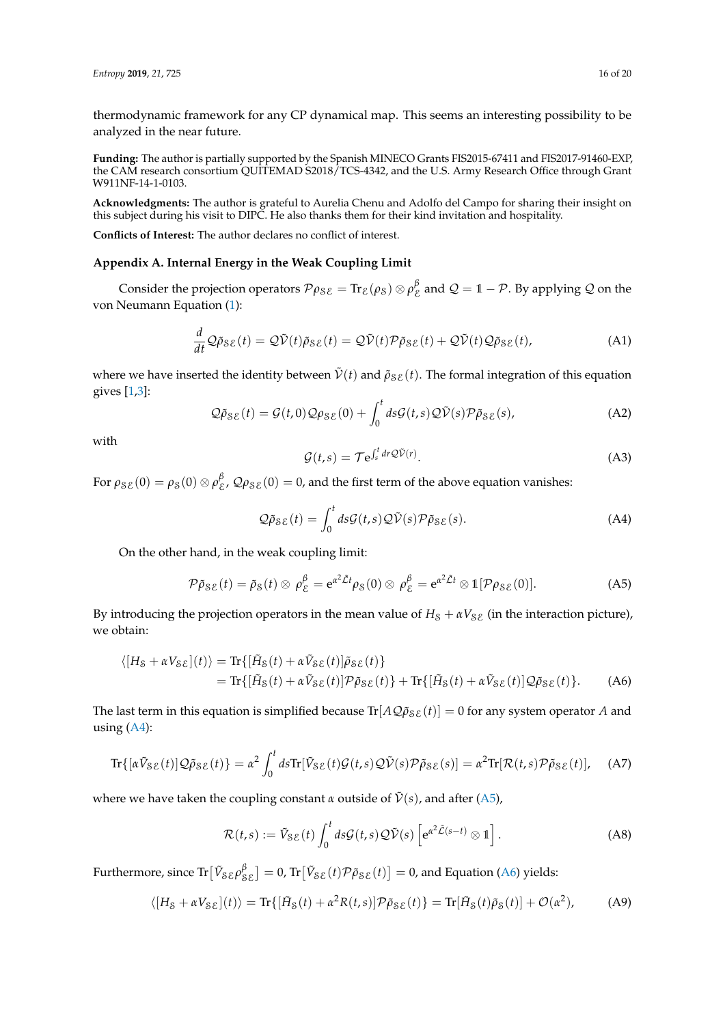thermodynamic framework for any CP dynamical map. This seems an interesting possibility to be analyzed in the near future.

**Funding:** The author is partially supported by the Spanish MINECO Grants FIS2015-67411 and FIS2017-91460-EXP, the CAM research consortium QUITEMAD S2018/TCS-4342, and the U.S. Army Research Office through Grant W911NF-14-1-0103.

**Acknowledgments:** The author is grateful to Aurelia Chenu and Adolfo del Campo for sharing their insight on this subject during his visit to DIPC. He also thanks them for their kind invitation and hospitality.

**Conflicts of Interest:** The author declares no conflict of interest.

### <span id="page-15-0"></span>**Appendix A. Internal Energy in the Weak Coupling Limit**

Consider the projection operators  $\mathcal{P}\rho_{\mathcal{S}\mathcal{E}} = \text{Tr}_{\mathcal{E}}(\rho_{\mathcal{S}}) \otimes \rho_{\mathcal{E}}^{\beta}$  and  $\mathcal{Q} = 1 - \mathcal{P}$ . By applying  $\mathcal Q$  on the von Neumann Equation [\(1\)](#page-1-1):

$$
\frac{d}{dt}\mathcal{Q}\tilde{\rho}_{\mathcal{S}\mathcal{E}}(t) = \mathcal{Q}\tilde{\mathcal{V}}(t)\tilde{\rho}_{\mathcal{S}\mathcal{E}}(t) = \mathcal{Q}\tilde{\mathcal{V}}(t)\mathcal{P}\tilde{\rho}_{\mathcal{S}\mathcal{E}}(t) + \mathcal{Q}\tilde{\mathcal{V}}(t)\mathcal{Q}\tilde{\rho}_{\mathcal{S}\mathcal{E}}(t),
$$
\n(A1)

where we have inserted the identity between  $\tilde{V}(t)$  and  $\tilde{\rho}_{S\mathcal{E}}(t)$ . The formal integration of this equation gives [\[1](#page-17-0)[,3\]](#page-17-1):

$$
\mathcal{Q}\tilde{\rho}_{\mathcal{S}\mathcal{E}}(t) = \mathcal{G}(t,0)\mathcal{Q}\rho_{\mathcal{S}\mathcal{E}}(0) + \int_0^t ds \mathcal{G}(t,s)\mathcal{Q}\tilde{\mathcal{V}}(s)\mathcal{P}\tilde{\rho}_{\mathcal{S}\mathcal{E}}(s),
$$
\n(A2)

with

<span id="page-15-3"></span>
$$
\mathcal{G}(t,s) = \mathcal{T} e^{\int_{s}^{t} dr \mathcal{Q}\tilde{\mathcal{V}}(r)}.
$$
\n(A3)

For  $\rho_{\mathcal{SE}}(0) = \rho_{\mathcal{S}}(0) \otimes \rho_{\mathcal{E}}^{\beta}$ ,  $\mathcal{Q}\rho_{\mathcal{SE}}(0) = 0$ , and the first term of the above equation vanishes:

<span id="page-15-1"></span>
$$
\mathcal{Q}\tilde{\rho}_{\mathcal{S}\mathcal{E}}(t) = \int_0^t ds \mathcal{G}(t, s) \mathcal{Q}\tilde{\mathcal{V}}(s) \mathcal{P}\tilde{\rho}_{\mathcal{S}\mathcal{E}}(s).
$$
 (A4)

On the other hand, in the weak coupling limit:

<span id="page-15-2"></span>
$$
\mathcal{P}\tilde{\rho}_{\mathcal{S}\mathcal{E}}(t) = \tilde{\rho}_{\mathcal{S}}(t) \otimes \rho_{\mathcal{E}}^{\beta} = e^{\alpha^2 \tilde{\mathcal{L}}t} \rho_{\mathcal{S}}(0) \otimes \rho_{\mathcal{E}}^{\beta} = e^{\alpha^2 \tilde{\mathcal{L}}t} \otimes \mathbb{1}[\mathcal{P}\rho_{\mathcal{S}\mathcal{E}}(0)]. \tag{A5}
$$

By introducing the projection operators in the mean value of  $H_S + \alpha V_{\delta E}$  (in the interaction picture), we obtain:

$$
\langle [H_{\mathcal{S}} + \alpha V_{\mathcal{S}\mathcal{E}}](t) \rangle = \text{Tr}\{ [\tilde{H}_{\mathcal{S}}(t) + \alpha \tilde{V}_{\mathcal{S}\mathcal{E}}(t)] \tilde{\rho}_{\mathcal{S}\mathcal{E}}(t) \}
$$
  
= 
$$
\text{Tr}\{ [\tilde{H}_{\mathcal{S}}(t) + \alpha \tilde{V}_{\mathcal{S}\mathcal{E}}(t)] \mathcal{P} \tilde{\rho}_{\mathcal{S}\mathcal{E}}(t) \} + \text{Tr}\{ [\tilde{H}_{\mathcal{S}}(t) + \alpha \tilde{V}_{\mathcal{S}\mathcal{E}}(t)] \mathcal{Q} \tilde{\rho}_{\mathcal{S}\mathcal{E}}(t) \}. \tag{A6}
$$

The last term in this equation is simplified because  $Tr[A\mathcal{Q}\tilde{\rho}_{\delta\mathcal{E}}(t)] = 0$  for any system operator *A* and using [\(A4\)](#page-15-1):

$$
\text{Tr}\{[\alpha \tilde{V}_{\mathcal{S}\mathcal{E}}(t)]\mathcal{Q}\tilde{\rho}_{\mathcal{S}\mathcal{E}}(t)\} = \alpha^2 \int_0^t d\mathbf{s} \text{Tr}[\tilde{V}_{\mathcal{S}\mathcal{E}}(t)\mathcal{G}(t,\mathbf{s})\mathcal{Q}\tilde{\mathcal{V}}(\mathbf{s})\mathcal{P}\tilde{\rho}_{\mathcal{S}\mathcal{E}}(\mathbf{s})] = \alpha^2 \text{Tr}[\mathcal{R}(t,\mathbf{s})\mathcal{P}\tilde{\rho}_{\mathcal{S}\mathcal{E}}(t)], \quad \text{(A7)}
$$

where we have taken the coupling constant  $\alpha$  outside of  $\tilde{V}(s)$ , and after [\(A5\)](#page-15-2),

$$
\mathcal{R}(t,s) := \tilde{V}_{\mathcal{S}\mathcal{E}}(t) \int_0^t ds \mathcal{G}(t,s) \mathcal{Q}\tilde{\mathcal{V}}(s) \left[ e^{\alpha^2 \tilde{\mathcal{L}}(s-t)} \otimes \mathbb{1} \right]. \tag{A8}
$$

Furthermore, since  $\text{Tr}[\tilde{V}_{\mathcal{S}\mathcal{E}}\rho_{\mathcal{S}\mathcal{E}}^{\beta}] = 0$ ,  $\text{Tr}[\tilde{V}_{\mathcal{S}\mathcal{E}}(t)\mathcal{P}\tilde{\rho}_{\mathcal{S}\mathcal{E}}(t)] = 0$ , and Equation [\(A6\)](#page-15-3) yields:

$$
\langle [H_{\mathcal{S}} + \alpha V_{\mathcal{S}\mathcal{E}}](t) \rangle = \text{Tr}\{ [\tilde{H}_{\mathcal{S}}(t) + \alpha^2 R(t,s)] \mathcal{P}\tilde{\rho}_{\mathcal{S}\mathcal{E}}(t) \} = \text{Tr}[\tilde{H}_{\mathcal{S}}(t)\tilde{\rho}_{\mathcal{S}}(t)] + \mathcal{O}(\alpha^2), \tag{A9}
$$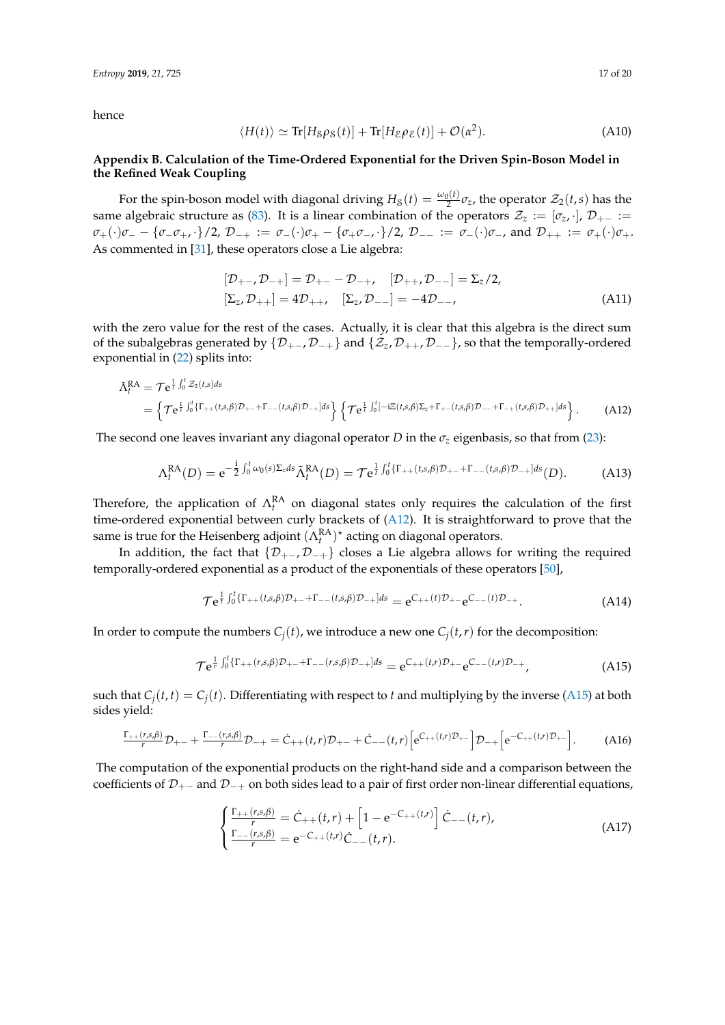hence

$$
\langle H(t) \rangle \simeq \text{Tr}[H_{\mathcal{S}}\rho_{\mathcal{S}}(t)] + \text{Tr}[H_{\mathcal{E}}\rho_{\mathcal{E}}(t)] + \mathcal{O}(\alpha^2). \tag{A10}
$$

# <span id="page-16-0"></span>**Appendix B. Calculation of the Time-Ordered Exponential for the Driven Spin-Boson Model in the Refined Weak Coupling**

For the spin-boson model with diagonal driving  $H_8(t) = \frac{\omega_0(t)}{2} \sigma_z$ , the operator  $\mathcal{Z}_2(t,s)$  has the same algebraic structure as [\(83\)](#page-11-2). It is a linear combination of the operators  $\mathcal{Z}_z := [\sigma_z, \cdot]$ ,  $\mathcal{D}_{+-} :=$  $\sigma_+(\cdot)\sigma_- - \{\sigma_-\sigma_+,\cdot\}/2$ ,  $\mathcal{D}_{-+} := \sigma_-(\cdot)\sigma_+ - \{\sigma_+\sigma_-\cdot\}/2$ ,  $\mathcal{D}_{--} := \sigma_-(\cdot)\sigma_+$ , and  $\mathcal{D}_{++} := \sigma_+(\cdot)\sigma_+$ . As commented in [\[31\]](#page-18-4), these operators close a Lie algebra:

<span id="page-16-1"></span>
$$
[\mathcal{D}_{+-}, \mathcal{D}_{-+}] = \mathcal{D}_{+-} - \mathcal{D}_{-+}, \quad [\mathcal{D}_{++}, \mathcal{D}_{--}] = \Sigma_z/2, [\Sigma_z, \mathcal{D}_{++}] = 4\mathcal{D}_{++}, \quad [\Sigma_z, \mathcal{D}_{--}] = -4\mathcal{D}_{--},
$$
 (A11)

with the zero value for the rest of the cases. Actually, it is clear that this algebra is the direct sum of the subalgebras generated by  $\{D_{+-}, D_{-+}\}\$  and  $\{\mathcal{Z}_z, D_{++}, D_{--}\}\$ , so that the temporally-ordered exponential in [\(22\)](#page-4-1) splits into:

$$
\tilde{\Lambda}_{t}^{\text{RA}} = \mathcal{T} e^{\frac{1}{t} \int_{0}^{t} Z_{2}(t, s) ds}
$$
\n
$$
= \left\{ \mathcal{T} e^{\frac{1}{t} \int_{0}^{t} \{\Gamma_{++}(t, s, \beta) \mathcal{D}_{+-} + \Gamma_{--}(t, s, \beta) \mathcal{D}_{-+} \} ds} \right\} \left\{ \mathcal{T} e^{\frac{1}{t} \int_{0}^{t} [-i\Xi(t, s, \beta) \Sigma_{z} + \Gamma_{+-}(t, s, \beta) \mathcal{D}_{--} + \Gamma_{-+}(t, s, \beta) \mathcal{D}_{++}] ds} \right\}.
$$
\n(A12)

The second one leaves invariant any diagonal operator *D* in the  $\sigma_z$  eigenbasis, so that from [\(23\)](#page-4-2):

$$
\Lambda_t^{RA}(D) = e^{-\frac{1}{2}\int_0^t \omega_0(s)\Sigma_z ds} \tilde{\Lambda}_t^{RA}(D) = \mathcal{T}e^{\frac{1}{t}\int_0^t \{\Gamma_{++}(t,s,\beta)\mathcal{D}_{+-} + \Gamma_{--}(t,s,\beta)\mathcal{D}_{-+}\}ds}(D). \tag{A13}
$$

Therefore, the application of  $\Lambda_t^{RA}$  on diagonal states only requires the calculation of the first time-ordered exponential between curly brackets of [\(A12\)](#page-16-1). It is straightforward to prove that the same is true for the Heisenberg adjoint  $(\Lambda_t^{\text{RA}})^*$  acting on diagonal operators.

In addition, the fact that  $\{D_{+-}, D_{-+}\}$  closes a Lie algebra allows for writing the required temporally-ordered exponential as a product of the exponentials of these operators [\[50\]](#page-19-3),

<span id="page-16-3"></span>
$$
\mathcal{T}e^{\frac{1}{t}\int_0^t \{\Gamma_{++}(t,s,\beta)\mathcal{D}_{+-}+\Gamma_{--}(t,s,\beta)\mathcal{D}_{-+}\}ds} = e^{C_{++}(t)\mathcal{D}_{+-}}e^{C_{--}(t)\mathcal{D}_{-+}}.
$$
 (A14)

In order to compute the numbers  $C_i(t)$ , we introduce a new one  $C_i(t,r)$  for the decomposition:

<span id="page-16-2"></span>
$$
\mathcal{T}e^{\frac{1}{r}\int_0^t\left\{\Gamma_{++}(r,s,\beta)\mathcal{D}_{+-}+\Gamma_{--}(r,s,\beta)\mathcal{D}_{-+}\right]ds}=e^{C_{++}(t,r)\mathcal{D}_{+-}}e^{C_{--}(t,r)\mathcal{D}_{-+}},\tag{A15}
$$

such that  $C_i(t, t) = C_i(t)$ . Differentiating with respect to *t* and multiplying by the inverse [\(A15\)](#page-16-2) at both sides yield:

$$
\frac{\Gamma_{++}(r,s,\beta)}{r}\mathcal{D}_{+-}+\frac{\Gamma_{--}(r,s,\beta)}{r}\mathcal{D}_{-+}=\dot{C}_{++}(t,r)\mathcal{D}_{+-}+\dot{C}_{--}(t,r)\left[e^{C_{++}(t,r)\mathcal{D}_{+-}}\right]\mathcal{D}_{-+}\left[e^{-C_{++}(t,r)\mathcal{D}_{+-}}\right].
$$
 (A16)

The computation of the exponential products on the right-hand side and a comparison between the coefficients of  $D_{+}$  and  $D_{-+}$  on both sides lead to a pair of first order non-linear differential equations,

$$
\begin{cases} \frac{\Gamma_{++}(r,s,\beta)}{r} = \dot{C}_{++}(t,r) + \left[1 - e^{-C_{++}(t,r)}\right] \dot{C}_{--}(t,r),\\ \frac{\Gamma_{--}(r,s,\beta)}{r} = e^{-C_{++}(t,r)} \dot{C}_{--}(t,r). \end{cases} (A17)
$$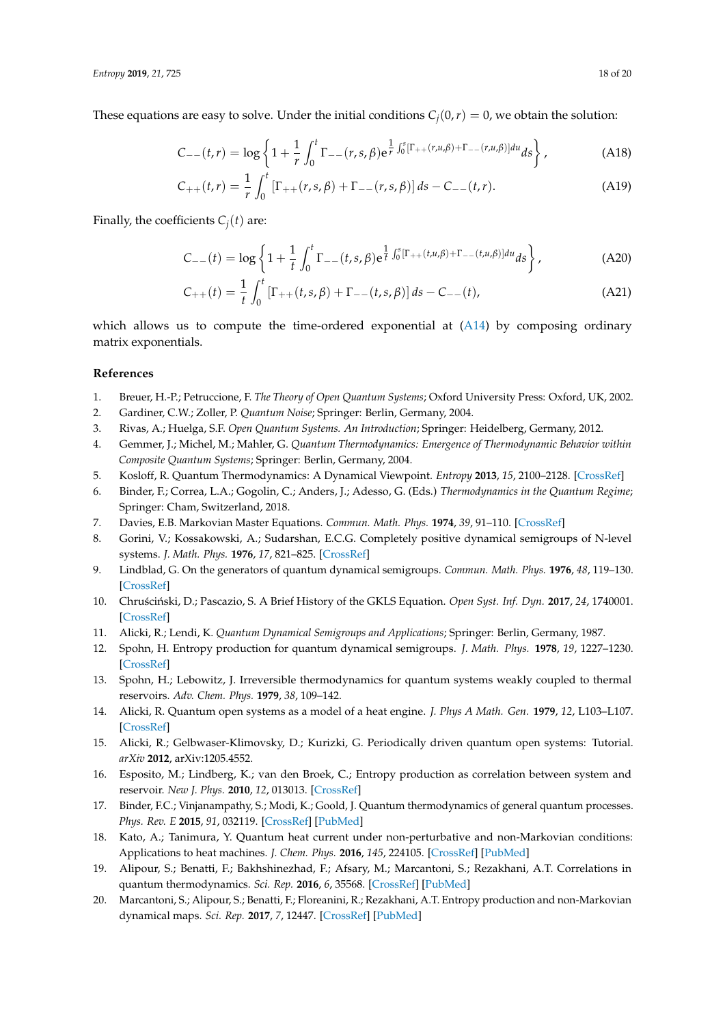These equations are easy to solve. Under the initial conditions  $C_i(0,r) = 0$ , we obtain the solution:

$$
C_{--}(t,r) = \log \left\{ 1 + \frac{1}{r} \int_0^t \Gamma_{--}(r,s,\beta) e^{\frac{1}{r} \int_0^s [\Gamma_{++}(r,u,\beta) + \Gamma_{--}(r,u,\beta)] du} ds \right\},
$$
 (A18)

$$
C_{++}(t,r) = \frac{1}{r} \int_0^t \left[ \Gamma_{++}(r,s,\beta) + \Gamma_{--}(r,s,\beta) \right] ds - C_{--}(t,r). \tag{A19}
$$

Finally, the coefficients  $C_i(t)$  are:

$$
C_{--}(t) = \log \left\{ 1 + \frac{1}{t} \int_0^t \Gamma_{--}(t,s,\beta) e^{\frac{1}{t} \int_0^s [\Gamma_{++}(t,u,\beta) + \Gamma_{--}(t,u,\beta)] du} ds \right\},
$$
(A20)

$$
C_{++}(t) = \frac{1}{t} \int_0^t \left[ \Gamma_{++}(t, s, \beta) + \Gamma_{--}(t, s, \beta) \right] ds - C_{--}(t), \tag{A21}
$$

which allows us to compute the time-ordered exponential at [\(A14\)](#page-16-3) by composing ordinary matrix exponentials.

# **References**

- <span id="page-17-0"></span>1. Breuer, H.-P.; Petruccione, F. *The Theory of Open Quantum Systems*; Oxford University Press: Oxford, UK, 2002.
- 2. Gardiner, C.W.; Zoller, P. *Quantum Noise*; Springer: Berlin, Germany, 2004.
- <span id="page-17-1"></span>3. Rivas, A.; Huelga, S.F. *Open Quantum Systems. An Introduction*; Springer: Heidelberg, Germany, 2012.
- <span id="page-17-2"></span>4. Gemmer, J.; Michel, M.; Mahler, G. *Quantum Thermodynamics: Emergence of Thermodynamic Behavior within Composite Quantum Systems*; Springer: Berlin, Germany, 2004.
- <span id="page-17-8"></span>5. Kosloff, R. Quantum Thermodynamics: A Dynamical Viewpoint. *Entropy* **2013**, *15*, 2100–2128. [\[CrossRef\]](http://dx.doi.org/10.3390/e15062100)
- <span id="page-17-3"></span>6. Binder, F.; Correa, L.A.; Gogolin, C.; Anders, J.; Adesso, G. (Eds.) *Thermodynamics in the Quantum Regime*; Springer: Cham, Switzerland, 2018.
- <span id="page-17-4"></span>7. Davies, E.B. Markovian Master Equations. *Commun. Math. Phys.* **1974**, *39*, 91–110. [\[CrossRef\]](http://dx.doi.org/10.1007/BF01608389)
- <span id="page-17-5"></span>8. Gorini, V.; Kossakowski, A.; Sudarshan, E.C.G. Completely positive dynamical semigroups of N-level systems. *J. Math. Phys.* **1976**, *17*, 821–825. [\[CrossRef\]](http://dx.doi.org/10.1063/1.522979)
- 9. Lindblad, G. On the generators of quantum dynamical semigroups. *Commun. Math. Phys.* **1976**, *48*, 119–130. [\[CrossRef\]](http://dx.doi.org/10.1007/BF01608499)
- <span id="page-17-6"></span>10. Chruściński, D.; Pascazio, S. A Brief History of the GKLS Equation. *Open Syst. Inf. Dyn.* **2017**, 24, 1740001. [\[CrossRef\]](http://dx.doi.org/10.1142/S1230161217400017)
- <span id="page-17-7"></span>11. Alicki, R.; Lendi, K. *Quantum Dynamical Semigroups and Applications*; Springer: Berlin, Germany, 1987.
- <span id="page-17-9"></span>12. Spohn, H. Entropy production for quantum dynamical semigroups. *J. Math. Phys.* **1978**, *19*, 1227–1230. [\[CrossRef\]](http://dx.doi.org/10.1063/1.523789)
- <span id="page-17-10"></span>13. Spohn, H.; Lebowitz, J. Irreversible thermodynamics for quantum systems weakly coupled to thermal reservoirs. *Adv. Chem. Phys.* **1979**, *38*, 109–142.
- <span id="page-17-11"></span>14. Alicki, R. Quantum open systems as a model of a heat engine. *J. Phys A Math. Gen.* **1979**, *12*, L103–L107. [\[CrossRef\]](http://dx.doi.org/10.1088/0305-4470/12/5/007)
- <span id="page-17-12"></span>15. Alicki, R.; Gelbwaser-Klimovsky, D.; Kurizki, G. Periodically driven quantum open systems: Tutorial. *arXiv* **2012**, arXiv:1205.4552.
- <span id="page-17-13"></span>16. Esposito, M.; Lindberg, K.; van den Broek, C.; Entropy production as correlation between system and reservoir. *New J. Phys.* **2010**, *12*, 013013. [\[CrossRef\]](http://dx.doi.org/10.1088/1367-2630/12/1/013013)
- 17. Binder, F.C.; Vinjanampathy, S.; Modi, K.; Goold, J. Quantum thermodynamics of general quantum processes. *Phys. Rev. E* **2015**, *91*, 032119. [\[CrossRef\]](http://dx.doi.org/10.1103/PhysRevE.91.032119) [\[PubMed\]](http://www.ncbi.nlm.nih.gov/pubmed/25871066)
- <span id="page-17-14"></span>18. Kato, A.; Tanimura, Y. Quantum heat current under non-perturbative and non-Markovian conditions: Applications to heat machines. *J. Chem. Phys.* **2016**, *145*, 224105. [\[CrossRef\]](http://dx.doi.org/10.1063/1.4971370) [\[PubMed\]](http://www.ncbi.nlm.nih.gov/pubmed/27984915)
- 19. Alipour, S.; Benatti, F.; Bakhshinezhad, F.; Afsary, M.; Marcantoni, S.; Rezakhani, A.T. Correlations in quantum thermodynamics. *Sci. Rep.* **2016**, *6*, 35568. [\[CrossRef\]](http://dx.doi.org/10.1038/srep35568) [\[PubMed\]](http://www.ncbi.nlm.nih.gov/pubmed/27767124)
- <span id="page-17-15"></span>20. Marcantoni, S.; Alipour, S.; Benatti, F.; Floreanini, R.; Rezakhani, A.T. Entropy production and non-Markovian dynamical maps. *Sci. Rep.* **2017**, *7*, 12447. [\[CrossRef\]](http://dx.doi.org/10.1038/s41598-017-12595-x) [\[PubMed\]](http://www.ncbi.nlm.nih.gov/pubmed/28963551)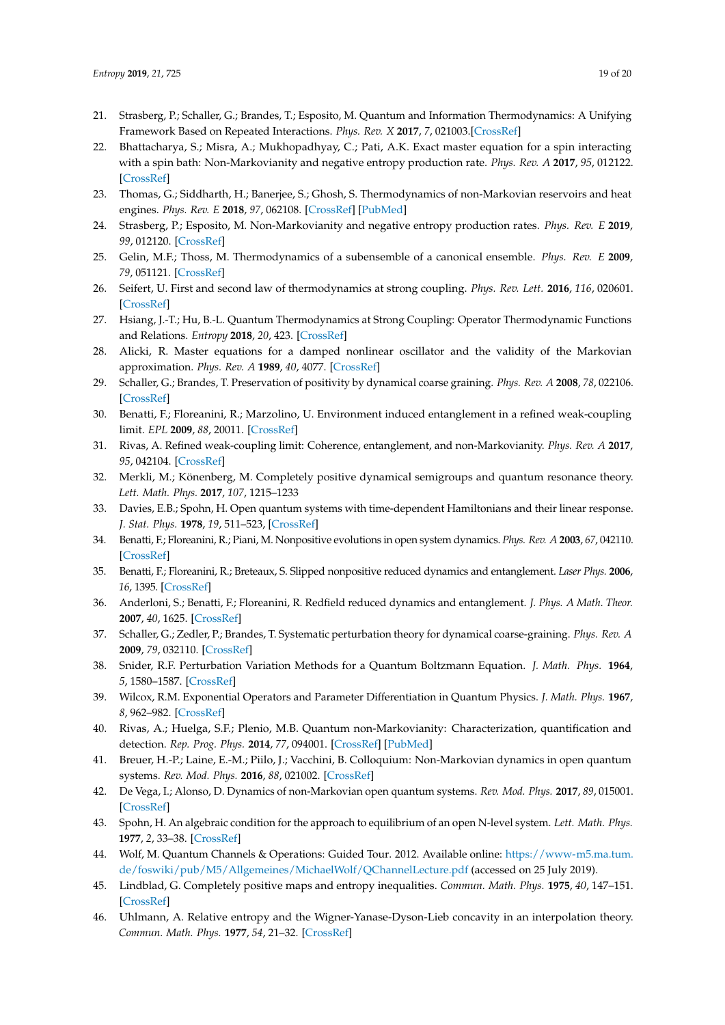- <span id="page-18-19"></span>21. Strasberg, P.; Schaller, G.; Brandes, T.; Esposito, M. Quantum and Information Thermodynamics: A Unifying Framework Based on Repeated Interactions. *Phys. Rev. X* **2017**, *7*, 021003.[\[CrossRef\]](http://dx.doi.org/10.1103/PhysRevX.7.021003)
- <span id="page-18-21"></span>22. Bhattacharya, S.; Misra, A.; Mukhopadhyay, C.; Pati, A.K. Exact master equation for a spin interacting with a spin bath: Non-Markovianity and negative entropy production rate. *Phys. Rev. A* **2017**, *95*, 012122. [\[CrossRef\]](http://dx.doi.org/10.1103/PhysRevA.95.012122)
- 23. Thomas, G.; Siddharth, H.; Banerjee, S.; Ghosh, S. Thermodynamics of non-Markovian reservoirs and heat engines. *Phys. Rev. E* **2018**, *97*, 062108. [\[CrossRef\]](http://dx.doi.org/10.1103/PhysRevE.97.062108) [\[PubMed\]](http://www.ncbi.nlm.nih.gov/pubmed/30011487)
- <span id="page-18-0"></span>24. Strasberg, P.; Esposito, M. Non-Markovianity and negative entropy production rates. *Phys. Rev. E* **2019**, *99*, 012120. [\[CrossRef\]](http://dx.doi.org/10.1103/PhysRevE.99.012120)
- <span id="page-18-1"></span>25. Gelin, M.F.; Thoss, M. Thermodynamics of a subensemble of a canonical ensemble. *Phys. Rev. E* **2009**, *79*, 051121. [\[CrossRef\]](http://dx.doi.org/10.1103/PhysRevE.79.051121)
- <span id="page-18-20"></span>26. Seifert, U. First and second law of thermodynamics at strong coupling. *Phys. Rev. Lett.* **2016**, *116*, 020601. [\[CrossRef\]](http://dx.doi.org/10.1103/PhysRevLett.116.020601)
- <span id="page-18-2"></span>27. Hsiang, J.-T.; Hu, B.-L. Quantum Thermodynamics at Strong Coupling: Operator Thermodynamic Functions and Relations. *Entropy* **2018**, *20*, 423. [\[CrossRef\]](http://dx.doi.org/10.3390/e20060423)
- <span id="page-18-3"></span>28. Alicki, R. Master equations for a damped nonlinear oscillator and the validity of the Markovian approximation. *Phys. Rev. A* **1989**, *40*, 4077. [\[CrossRef\]](http://dx.doi.org/10.1103/PhysRevA.40.4077)
- <span id="page-18-10"></span>29. Schaller, G.; Brandes, T. Preservation of positivity by dynamical coarse graining. *Phys. Rev. A* **2008**, *78*, 022106. [\[CrossRef\]](http://dx.doi.org/10.1103/PhysRevA.78.022106)
- 30. Benatti, F.; Floreanini, R.; Marzolino, U. Environment induced entanglement in a refined weak-coupling limit. *EPL* **2009**, *88*, 20011. [\[CrossRef\]](http://dx.doi.org/10.1209/0295-5075/88/20011)
- <span id="page-18-4"></span>31. Rivas, A. Refined weak-coupling limit: Coherence, entanglement, and non-Markovianity. *Phys. Rev. A* **2017**, *95*, 042104. [\[CrossRef\]](http://dx.doi.org/10.1103/PhysRevA.95.042104)
- <span id="page-18-5"></span>32. Merkli, M.; Könenberg, M. Completely positive dynamical semigroups and quantum resonance theory. *Lett. Math. Phys.* **2017**, *107*, 1215–1233
- <span id="page-18-6"></span>33. Davies, E.B.; Spohn, H. Open quantum systems with time-dependent Hamiltonians and their linear response. *J. Stat. Phys.* **1978**, *19*, 511–523, [\[CrossRef\]](http://dx.doi.org/10.1007/BF01011696)
- <span id="page-18-7"></span>34. Benatti, F.; Floreanini, R.; Piani, M. Nonpositive evolutions in open system dynamics. *Phys. Rev. A* **2003**, *67*, 042110. [\[CrossRef\]](http://dx.doi.org/10.1103/PhysRevA.67.042110)
- 35. Benatti, F.; Floreanini, R.; Breteaux, S. Slipped nonpositive reduced dynamics and entanglement. *Laser Phys.* **2006**, *16*, 1395. [\[CrossRef\]](http://dx.doi.org/10.1134/S1054660X06100021)
- <span id="page-18-8"></span>36. Anderloni, S.; Benatti, F.; Floreanini, R. Redfield reduced dynamics and entanglement. *J. Phys. A Math. Theor.* **2007**, *40*, 1625. [\[CrossRef\]](http://dx.doi.org/10.1088/1751-8113/40/7/013)
- <span id="page-18-9"></span>37. Schaller, G.; Zedler, P.; Brandes, T. Systematic perturbation theory for dynamical coarse-graining. *Phys. Rev. A* **2009**, *79*, 032110. [\[CrossRef\]](http://dx.doi.org/10.1103/PhysRevA.79.032110)
- <span id="page-18-11"></span>38. Snider, R.F. Perturbation Variation Methods for a Quantum Boltzmann Equation. *J. Math. Phys.* **1964**, *5*, 1580–1587. [\[CrossRef\]](http://dx.doi.org/10.1063/1.1931191)
- <span id="page-18-12"></span>39. Wilcox, R.M. Exponential Operators and Parameter Differentiation in Quantum Physics. *J. Math. Phys.* **1967**, *8*, 962–982. [\[CrossRef\]](http://dx.doi.org/10.1063/1.1705306)
- <span id="page-18-13"></span>40. Rivas, A.; Huelga, S.F.; Plenio, M.B. Quantum non-Markovianity: Characterization, quantification and detection. *Rep. Prog. Phys.* **2014**, *77*, 094001. [\[CrossRef\]](http://dx.doi.org/10.1088/0034-4885/77/9/094001) [\[PubMed\]](http://www.ncbi.nlm.nih.gov/pubmed/25147025)
- 41. Breuer, H.-P.; Laine, E.-M.; Piilo, J.; Vacchini, B. Colloquium: Non-Markovian dynamics in open quantum systems. *Rev. Mod. Phys.* **2016**, *88*, 021002. [\[CrossRef\]](http://dx.doi.org/10.1103/RevModPhys.88.021002)
- <span id="page-18-14"></span>42. De Vega, I.; Alonso, D. Dynamics of non-Markovian open quantum systems. *Rev. Mod. Phys.* **2017**, *89*, 015001. [\[CrossRef\]](http://dx.doi.org/10.1103/RevModPhys.89.015001)
- <span id="page-18-15"></span>43. Spohn, H. An algebraic condition for the approach to equilibrium of an open N-level system. *Lett. Math. Phys.* **1977**, *2*, 33–38. [\[CrossRef\]](http://dx.doi.org/10.1007/BF00420668)
- <span id="page-18-16"></span>44. Wolf, M. Quantum Channels & Operations: Guided Tour. 2012. Available online: [https://www-m5.ma.tum.](https://www-m5.ma.tum.de/foswiki/pub/M5/Allgemeines/MichaelWolf/QChannelLecture.pdf) [de/foswiki/pub/M5/Allgemeines/MichaelWolf/QChannelLecture.pdf](https://www-m5.ma.tum.de/foswiki/pub/M5/Allgemeines/MichaelWolf/QChannelLecture.pdf) (accessed on 25 July 2019).
- <span id="page-18-17"></span>45. Lindblad, G. Completely positive maps and entropy inequalities. *Commun. Math. Phys.* **1975**, *40*, 147–151. [\[CrossRef\]](http://dx.doi.org/10.1007/BF01609396)
- <span id="page-18-18"></span>46. Uhlmann, A. Relative entropy and the Wigner-Yanase-Dyson-Lieb concavity in an interpolation theory. *Commun. Math. Phys.* **1977**, *54*, 21–32. [\[CrossRef\]](http://dx.doi.org/10.1007/BF01609834)